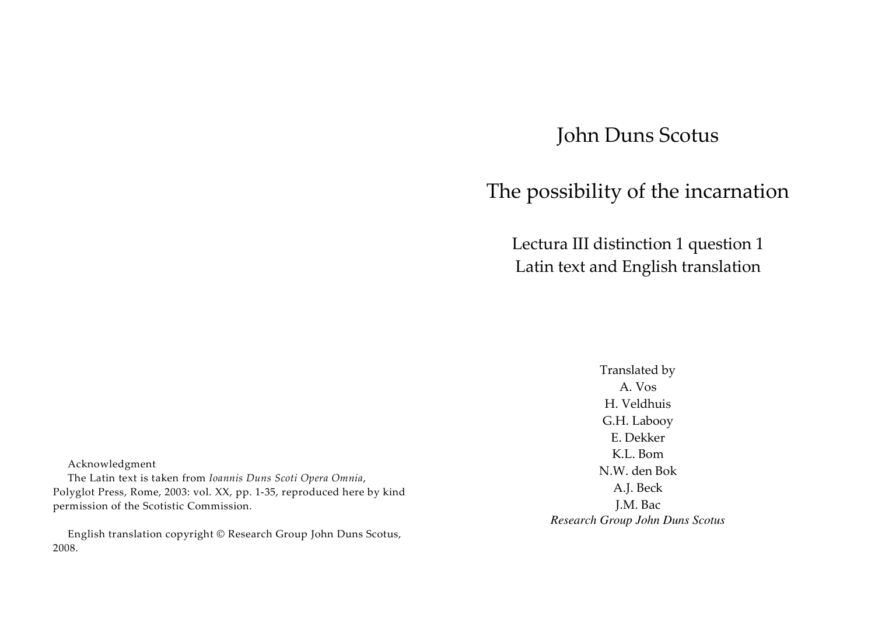# John Duns Scotus

# The possibility of the incarnation

Lectura III distinction 1 question 1 Latin text and English translation

> Translated by A. Vos H. Veldhuis G.H. Labooy E. Dekker K.L. Bom N.W. den Bok A.J. Beck J.M. Bac *Research Group John Duns Scotus*

Acknowledgment

The Latin text is taken from *Ioannis Duns Scoti Opera Omnia*, Polyglot Press, Rome, 2003: vol. XX, pp. 1-35, reproduced here by kind permission of the Scotistic Commission.

English translation copyright © Research Group John Duns Scotus, 2008.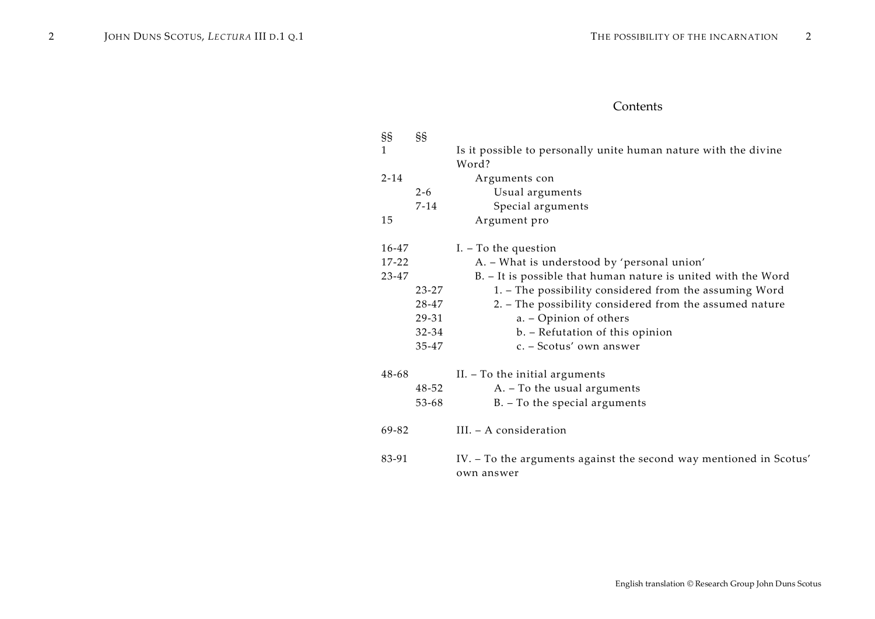# Contents

| §§           | §§       |                                                                                  |
|--------------|----------|----------------------------------------------------------------------------------|
| $\mathbf{1}$ |          | Is it possible to personally unite human nature with the divine                  |
|              |          | Word?                                                                            |
| $2 - 14$     |          | Arguments con                                                                    |
|              | $2 - 6$  | Usual arguments                                                                  |
|              | $7 - 14$ | Special arguments                                                                |
| 15           |          | Argument pro                                                                     |
| 16-47        |          | $I. - To the question$                                                           |
| $17 - 22$    |          | A. - What is understood by 'personal union'                                      |
| 23-47        |          | B. - It is possible that human nature is united with the Word                    |
|              | 23-27    | 1. - The possibility considered from the assuming Word                           |
|              | 28-47    | 2. - The possibility considered from the assumed nature                          |
|              | 29-31    | a. - Opinion of others                                                           |
|              | 32-34    | b. - Refutation of this opinion                                                  |
|              | 35-47    | c. - Scotus' own answer                                                          |
| 48-68        |          | II. - To the initial arguments                                                   |
|              | 48-52    | A. - To the usual arguments                                                      |
|              | 53-68    | B. - To the special arguments                                                    |
| 69-82        |          | III. - A consideration                                                           |
| 83-91        |          | IV. - To the arguments against the second way mentioned in Scotus'<br>own answer |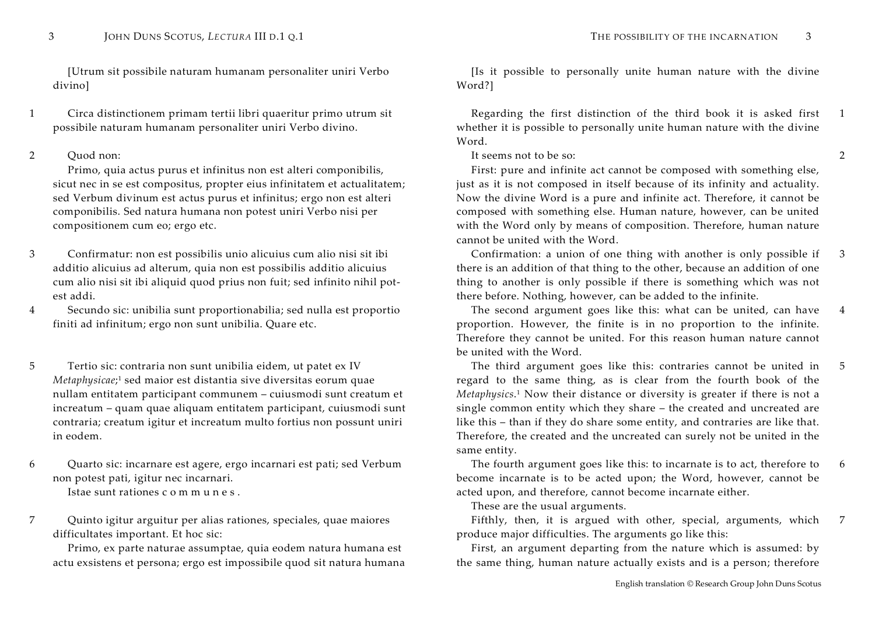[Utrum sit possibile naturam humanam personaliter uniri Verbo divino]

1 Circa distinctionem primam tertii libri quaeritur primo utrum sit possibile naturam humanam personaliter uniri Verbo divino.

2 Ouod non:

Primo, quia actus purus et infinitus non est alteri componibilis, sicut nec in se est compositus, propter eius infinitatem et actualitatem; sed Verbum divinum est actus purus et infinitus; ergo non est alteri componibilis. Sed natura humana non potest uniri Verbo nisi per compositionem cum eo; ergo etc.

3 Confirmatur: non est possibilis unio alicuius cum alio nisi sit ibi additio alicuius ad alterum, quia non est possibilis additio alicuius cum alio nisi sit ibi aliquid quod prius non fuit; sed infinito nihil potest addi.

4 Secundo sic: unibilia sunt proportionabilia; sed nulla est proportio finiti ad infinitum; ergo non sunt unibilia. Quare etc.

5 Tertio sic: contraria non sunt unibilia eidem, ut patet ex IV *Metaphysicae*;<sup>1</sup> sed maior est distantia sive diversitas eorum quae nullam entitatem participant communem – cuiusmodi sunt creatum et increatum – quam quae aliquam entitatem participant, cuiusmodi sunt contraria; creatum igitur et increatum multo fortius non possunt uniri in eodem.

6 Quarto sic: incarnare est agere, ergo incarnari est pati; sed Verbum non potest pati, igitur nec incarnari. Istae sunt rationes c <sup>o</sup> <sup>m</sup> <sup>m</sup> <sup>u</sup> <sup>n</sup> <sup>e</sup> <sup>s</sup> .

7 Quinto igitur arguitur per alias rationes, speciales, quae maiores difficultates important. Et hoc sic:

Primo, ex parte naturae assumptae, quia eodem natura humana est actu exsistens et persona; ergo est impossibile quod sit natura humana

 [Is it possible to personally unite human nature with the divine Word?]

 Regarding the first distinction of the third book it is asked first whether it is possible to personally unite human nature with the divine Word. 1

It seems not to be so:

First: pure and infinite act cannot be composed with something else, just as it is not composed in itself because of its infinity and actuality. Now the divine Word is a pure and infinite act. Therefore, it cannot be composed with something else. Human nature, however, can be united with the Word only by means of composition. Therefore, human nature cannot be united with the Word.

 Confirmation: a union of one thing with another is only possible if there is an addition of that thing to the other, because an addition of one thing to another is only possible if there is something which was not there before. Nothing, however, can be added to the infinite. 3

 The second argument goes like this: what can be united, can have proportion. However, the finite is in no proportion to the infinite. Therefore they cannot be united. For this reason human nature cannot be united with the Word. 4

 The third argument goes like this: contraries cannot be united in regard to the same thing, as is clear from the fourth book of the *Metaphysics*.<sup>1</sup> Now their distance or diversity is greater if there is not a single common entity which they share – the created and uncreated are like this – than if they do share some entity, and contraries are like that. Therefore, the created and the uncreated can surely not be united in the same entity. 5

 The fourth argument goes like this: to incarnate is to act, therefore to become incarnate is to be acted upon; the Word, however, cannot be acted upon, and therefore, cannot become incarnate either. 6

These are the usual arguments.

 Fifthly, then, it is argued with other, special, arguments, which produce major difficulties. The arguments go like this: 7

First, an argument departing from the nature which is assumed: by the same thing, human nature actually exists and is a person; therefore

2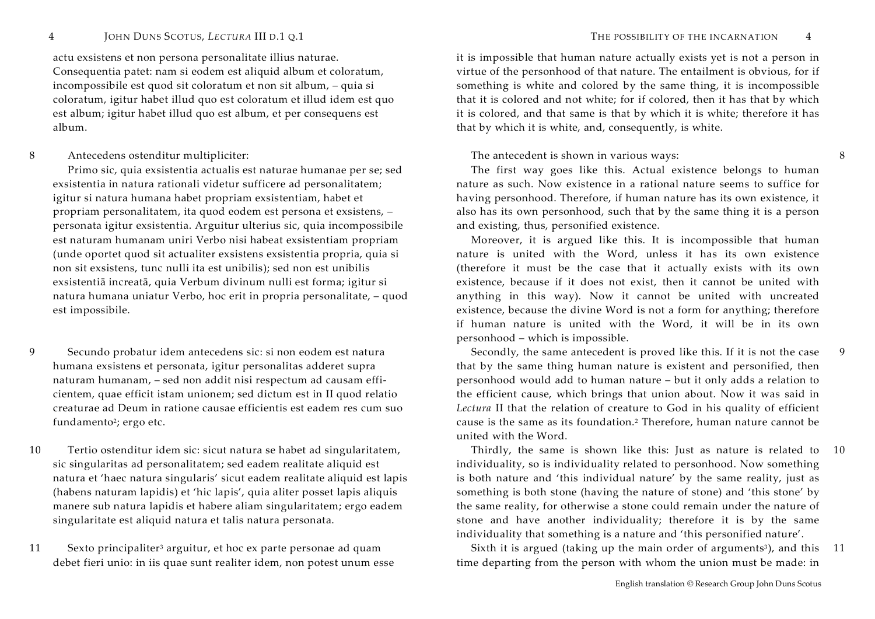actu exsistens et non persona personalitate illius naturae. Consequentia patet: nam si eodem est aliquid album et coloratum, incompossibile est quod sit coloratum et non sit album, – quia si coloratum, igitur habet illud quo est coloratum et illud idem est quo est album; igitur habet illud quo est album, et per consequens est album.

# 8 Antecedens ostenditur multipliciter:

Primo sic, quia exsistentia actualis est naturae humanae per se; sed exsistentia in natura rationali videtur sufficere ad personalitatem; igitur si natura humana habet propriam exsistentiam, habet et propriam personalitatem, ita quod eodem est persona et exsistens, – personata igitur exsistentia. Arguitur ulterius sic, quia incompossibile est naturam humanam uniri Verbo nisi habeat exsistentiam propriam (unde oportet quod sit actualiter exsistens exsistentia propria, quia si non sit exsistens, tunc nulli ita est unibilis); sed non est unibilis exsistentiā increatā, quia Verbum divinum nulli est forma; igitur si natura humana uniatur Verbo, hoc erit in propria personalitate, – quod est impossibile.

- 9 Secundo probatur idem antecedens sic: si non eodem est natura humana exsistens et personata, igitur personalitas adderet supra naturam humanam, – sed non addit nisi respectum ad causam efficientem, quae efficit istam unionem; sed dictum est in II quod relatio creaturae ad Deum in ratione causae efficientis est eadem res cum suo fundamento<sup>2</sup>; ergo etc.
- 10 Tertio ostenditur idem sic: sicut natura se habet ad singularitatem, sic singularitas ad personalitatem; sed eadem realitate aliquid est natura et 'haec natura singularis' sicut eadem realitate aliquid est lapis (habens naturam lapidis) et 'hic lapis', quia aliter posset lapis aliquis manere sub natura lapidis et habere aliam singularitatem; ergo eadem singularitate est aliquid natura et talis natura personata.
- 11 Sexto principaliter<sup>3</sup> arguitur, et hoc ex parte personae ad quam debet fieri unio: in iis quae sunt realiter idem, non potest unum esse

THE POSSIBILITY OF THE INCARNATION 4

it is impossible that human nature actually exists yet is not a person in virtue of the personhood of that nature. The entailment is obvious, for if something is white and colored by the same thing, it is incompossible that it is colored and not white; for if colored, then it has that by which it is colored, and that same is that by which it is white; therefore it has that by which it is white, and, consequently, is white.

## The antecedent is shown in various ways:

The first way goes like this. Actual existence belongs to human nature as such. Now existence in a rational nature seems to suffice for having personhood. Therefore, if human nature has its own existence, it also has its own personhood, such that by the same thing it is a person and existing, thus, personified existence.

Moreover, it is argued like this. It is incompossible that human nature is united with the Word, unless it has its own existence (therefore it must be the case that it actually exists with its own existence, because if it does not exist, then it cannot be united with anything in this way). Now it cannot be united with uncreated existence, because the divine Word is not a form for anything; therefore if human nature is united with the Word, it will be in its own personhood – which is impossible.

 Secondly, the same antecedent is proved like this. If it is not the case that by the same thing human nature is existent and personified, then personhood would add to human nature – but it only adds a relation to the efficient cause, which brings that union about. Now it was said in *Lectura* II that the relation of creature to God in his quality of efficient cause is the same as its foundation.2 Therefore, human nature cannot be united with the Word.

 Thirdly, the same is shown like this: Just as nature is related to 10individuality, so is individuality related to personhood. Now something is both nature and 'this individual nature' by the same reality, just as something is both stone (having the nature of stone) and 'this stone' by the same reality, for otherwise a stone could remain under the nature of stone and have another individuality; therefore it is by the same individuality that something is a nature and 'this personified nature'.

Sixth it is argued (taking up the main order of arguments<sup>3</sup>), and this 11 time departing from the person with whom the union must be made: in

9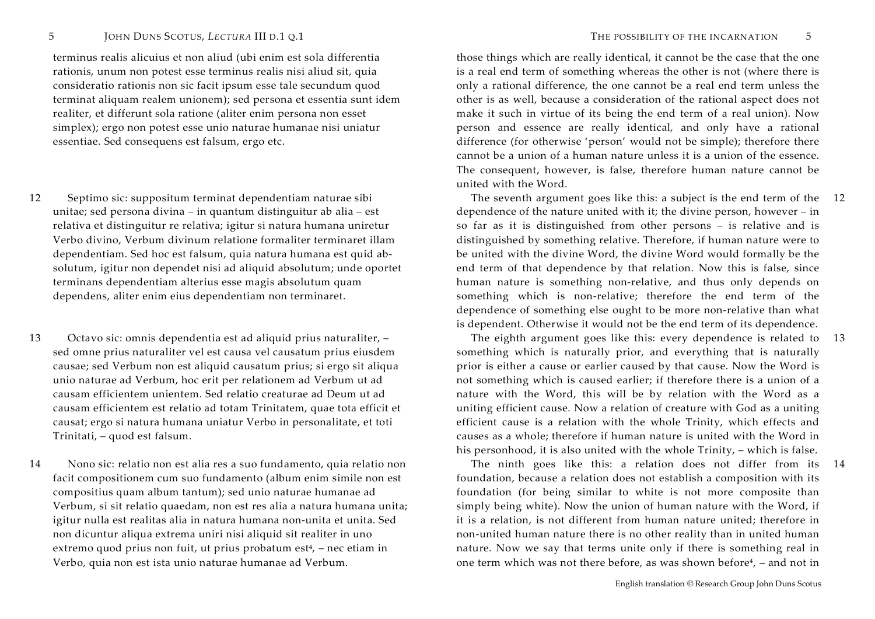terminus realis alicuius et non aliud (ubi enim est sola differentia rationis, unum non potest esse terminus realis nisi aliud sit, quia consideratio rationis non sic facit ipsum esse tale secundum quod terminat aliquam realem unionem); sed persona et essentia sunt idem realiter, et differunt sola ratione (aliter enim persona non esset simplex); ergo non potest esse unio naturae humanae nisi uniatur essentiae. Sed consequens est falsum, ergo etc.

- 12 Septimo sic: suppositum terminat dependentiam naturae sibi unitae; sed persona divina – in quantum distinguitur ab alia – est relativa et distinguitur re relativa; igitur si natura humana uniretur Verbo divino, Verbum divinum relatione formaliter terminaret illam dependentiam. Sed hoc est falsum, quia natura humana est quid absolutum, igitur non dependet nisi ad aliquid absolutum; unde oportet terminans dependentiam alterius esse magis absolutum quam dependens, aliter enim eius dependentiam non terminaret.
- 13 Octavo sic: omnis dependentia est ad aliquid prius naturaliter, sed omne prius naturaliter vel est causa vel causatum prius eiusdem causae; sed Verbum non est aliquid causatum prius; si ergo sit aliqua unio naturae ad Verbum, hoc erit per relationem ad Verbum ut ad causam efficientem unientem. Sed relatio creaturae ad Deum ut ad causam efficientem est relatio ad totam Trinitatem, quae tota efficit et causat; ergo si natura humana uniatur Verbo in personalitate, et toti Trinitati, – quod est falsum.
- 14 Nono sic: relatio non est alia res a suo fundamento, quia relatio non facit compositionem cum suo fundamento (album enim simile non est compositius quam album tantum); sed unio naturae humanae ad Verbum, si sit relatio quaedam, non est res alia a natura humana unita; igitur nulla est realitas alia in natura humana non-unita et unita. Sed non dicuntur aliqua extrema uniri nisi aliquid sit realiter in uno extremo quod prius non fuit, ut prius probatum est $4$ , – nec etiam in Verbo, quia non est ista unio naturae humanae ad Verbum.

those things which are really identical, it cannot be the case that the one is a real end term of something whereas the other is not (where there is only a rational difference, the one cannot be a real end term unless the other is as well, because a consideration of the rational aspect does not make it such in virtue of its being the end term of a real union). Now person and essence are really identical, and only have a rational difference (for otherwise 'person' would not be simple); therefore there cannot be a union of a human nature unless it is a union of the essence. The consequent, however, is false, therefore human nature cannot be united with the Word.

 The seventh argument goes like this: a subject is the end term of the 12dependence of the nature united with it; the divine person, however – in so far as it is distinguished from other persons – is relative and is distinguished by something relative. Therefore, if human nature were to be united with the divine Word, the divine Word would formally be the end term of that dependence by that relation. Now this is false, since human nature is something non-relative, and thus only depends on something which is non-relative; therefore the end term of the dependence of something else ought to be more non-relative than what is dependent. Otherwise it would not be the end term of its dependence.

 The eighth argument goes like this: every dependence is related to 13something which is naturally prior, and everything that is naturally prior is either a cause or earlier caused by that cause. Now the Word is not something which is caused earlier; if therefore there is a union of a nature with the Word, this will be by relation with the Word as a uniting efficient cause. Now a relation of creature with God as a uniting efficient cause is a relation with the whole Trinity, which effects and causes as a whole; therefore if human nature is united with the Word in his personhood, it is also united with the whole Trinity, – which is false.

 The ninth goes like this: a relation does not differ from its foundation, because a relation does not establish a composition with its foundation (for being similar to white is not more composite than simply being white). Now the union of human nature with the Word, if it is a relation, is not different from human nature united; therefore in non-united human nature there is no other reality than in united human nature. Now we say that terms unite only if there is something real in one term which was not there before, as was shown before<sup>4</sup>, – and not in 14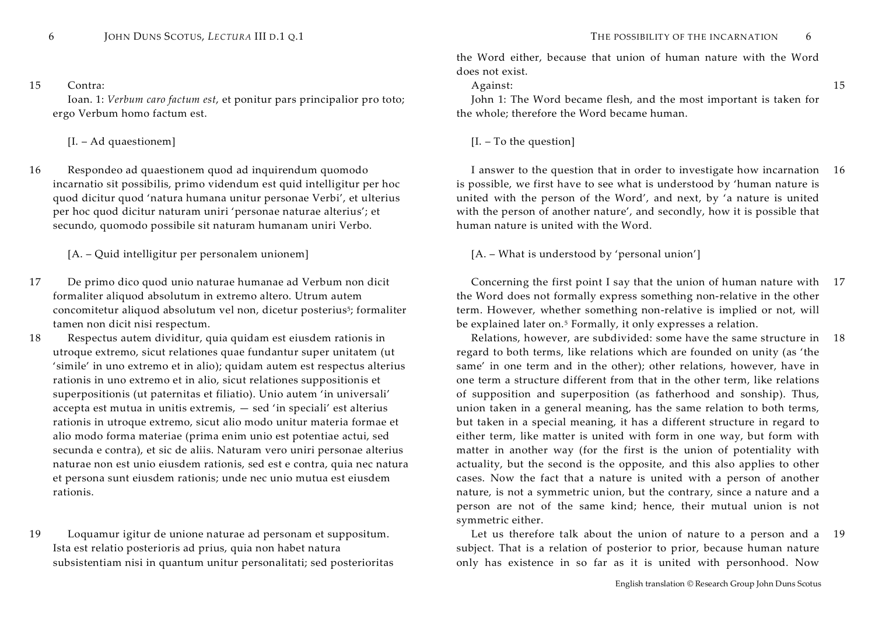### 15 Contra:

Ioan. 1: *Verbum caro factum est*, et ponitur pars principalior pro toto; ergo Verbum homo factum est.

# [I. – Ad quaestionem] [I. – To the question]

- 16 Respondeo ad quaestionem quod ad inquirendum quomodo incarnatio sit possibilis, primo videndum est quid intelligitur per hoc quod dicitur quod 'natura humana unitur personae Verbi', et ulterius per hoc quod dicitur naturam uniri 'personae naturae alterius'; et secundo, quomodo possibile sit naturam humanam uniri Verbo.
	- [A. Quid intelligitur per personalem unionem] [A. What is understood by 'personal union']
- 17 De primo dico quod unio naturae humanae ad Verbum non dicit formaliter aliquod absolutum in extremo altero. Utrum autem concomitetur aliquod absolutum vel non, dicetur posterius<sup>5</sup>; formaliter tamen non dicit nisi respectum.
- 18 Respectus autem dividitur, quia quidam est eiusdem rationis in utroque extremo, sicut relationes quae fundantur super unitatem (ut 'simile' in uno extremo et in alio); quidam autem est respectus alterius rationis in uno extremo et in alio, sicut relationes suppositionis et superpositionis (ut paternitas et filiatio). Unio autem 'in universali' accepta est mutua in unitis extremis, — sed 'in speciali' est alterius rationis in utroque extremo, sicut alio modo unitur materia formae et alio modo forma materiae (prima enim unio est potentiae actui, sed secunda e contra), et sic de aliis. Naturam vero uniri personae alterius naturae non est unio eiusdem rationis, sed est e contra, quia nec natura et persona sunt eiusdem rationis; unde nec unio mutua est eiusdem rationis.
- 19 Loquamur igitur de unione naturae ad personam et suppositum. Ista est relatio posterioris ad prius, quia non habet natura subsistentiam nisi in quantum unitur personalitati; sed posterioritas

15

the Word either, because that union of human nature with the Word does not exist.

Against:

John 1: The Word became flesh, and the most important is taken for the whole; therefore the Word became human.

 I answer to the question that in order to investigate how incarnation 16is possible, we first have to see what is understood by 'human nature is united with the person of the Word', and next, by 'a nature is united with the person of another nature', and secondly, how it is possible that human nature is united with the Word.

 Concerning the first point I say that the union of human nature with 17the Word does not formally express something non-relative in the other term. However, whether something non-relative is implied or not, will be explained later on.5 Formally, it only expresses a relation.

 Relations, however, are subdivided: some have the same structure in 18regard to both terms, like relations which are founded on unity (as 'the same' in one term and in the other); other relations, however, have in one term a structure different from that in the other term, like relations of supposition and superposition (as fatherhood and sonship). Thus, union taken in a general meaning, has the same relation to both terms, but taken in a special meaning, it has a different structure in regard to either term, like matter is united with form in one way, but form with matter in another way (for the first is the union of potentiality with actuality, but the second is the opposite, and this also applies to other cases. Now the fact that a nature is united with a person of another nature, is not a symmetric union, but the contrary, since a nature and a person are not of the same kind; hence, their mutual union is not symmetric either.

 Let us therefore talk about the union of nature to a person and a subject. That is a relation of posterior to prior, because human nature only has existence in so far as it is united with personhood. Now 19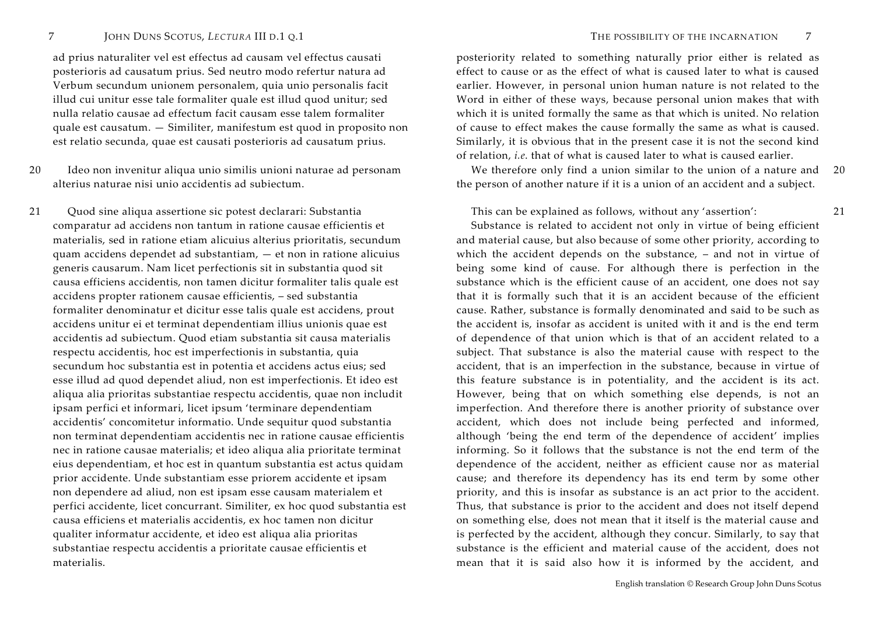ad prius naturaliter vel est effectus ad causam vel effectus causati posterioris ad causatum prius. Sed neutro modo refertur natura ad Verbum secundum unionem personalem, quia unio personalis facit illud cui unitur esse tale formaliter quale est illud quod unitur; sed nulla relatio causae ad effectum facit causam esse talem formaliter quale est causatum. — Similiter, manifestum est quod in proposito non est relatio secunda, quae est causati posterioris ad causatum prius.

20 Ideo non invenitur aliqua unio similis unioni naturae ad personam alterius naturae nisi unio accidentis ad subiectum.

21 Quod sine aliqua assertione sic potest declarari: Substantia comparatur ad accidens non tantum in ratione causae efficientis et materialis, sed in ratione etiam alicuius alterius prioritatis, secundum quam accidens dependet ad substantiam, — et non in ratione alicuius generis causarum. Nam licet perfectionis sit in substantia quod sit causa efficiens accidentis, non tamen dicitur formaliter talis quale est accidens propter rationem causae efficientis, – sed substantia formaliter denominatur et dicitur esse talis quale est accidens, prout accidens unitur ei et terminat dependentiam illius unionis quae est accidentis ad subiectum. Quod etiam substantia sit causa materialis respectu accidentis, hoc est imperfectionis in substantia, quia secundum hoc substantia est in potentia et accidens actus eius; sed esse illud ad quod dependet aliud, non est imperfectionis. Et ideo est aliqua alia prioritas substantiae respectu accidentis, quae non includit ipsam perfici et informari, licet ipsum 'terminare dependentiam accidentis' concomitetur informatio. Unde sequitur quod substantia non terminat dependentiam accidentis nec in ratione causae efficientis nec in ratione causae materialis; et ideo aliqua alia prioritate terminat eius dependentiam, et hoc est in quantum substantia est actus quidam prior accidente. Unde substantiam esse priorem accidente et ipsam non dependere ad aliud, non est ipsam esse causam materialem et perfici accidente, licet concurrant. Similiter, ex hoc quod substantia est causa efficiens et materialis accidentis, ex hoc tamen non dicitur qualiter informatur accidente, et ideo est aliqua alia prioritas substantiae respectu accidentis a prioritate causae efficientis et materialis.

posteriority related to something naturally prior either is related as effect to cause or as the effect of what is caused later to what is caused earlier. However, in personal union human nature is not related to the Word in either of these ways, because personal union makes that with which it is united formally the same as that which is united. No relation of cause to effect makes the cause formally the same as what is caused. Similarly, it is obvious that in the present case it is not the second kind of relation, *i.e*. that of what is caused later to what is caused earlier.

 We therefore only find a union similar to the union of a nature and the person of another nature if it is a union of an accident and a subject. 20

This can be explained as follows, without any 'assertion':

Substance is related to accident not only in virtue of being efficient and material cause, but also because of some other priority, according to which the accident depends on the substance, – and not in virtue of being some kind of cause. For although there is perfection in the substance which is the efficient cause of an accident, one does not say that it is formally such that it is an accident because of the efficient cause. Rather, substance is formally denominated and said to be such as the accident is, insofar as accident is united with it and is the end term of dependence of that union which is that of an accident related to a subject. That substance is also the material cause with respect to the accident, that is an imperfection in the substance, because in virtue of this feature substance is in potentiality, and the accident is its act. However, being that on which something else depends, is not an imperfection. And therefore there is another priority of substance over accident, which does not include being perfected and informed, although 'being the end term of the dependence of accident' implies informing. So it follows that the substance is not the end term of the dependence of the accident, neither as efficient cause nor as material cause; and therefore its dependency has its end term by some other priority, and this is insofar as substance is an act prior to the accident. Thus, that substance is prior to the accident and does not itself depend on something else, does not mean that it itself is the material cause and is perfected by the accident, although they concur. Similarly, to say that substance is the efficient and material cause of the accident, does not mean that it is said also how it is informed by the accident, and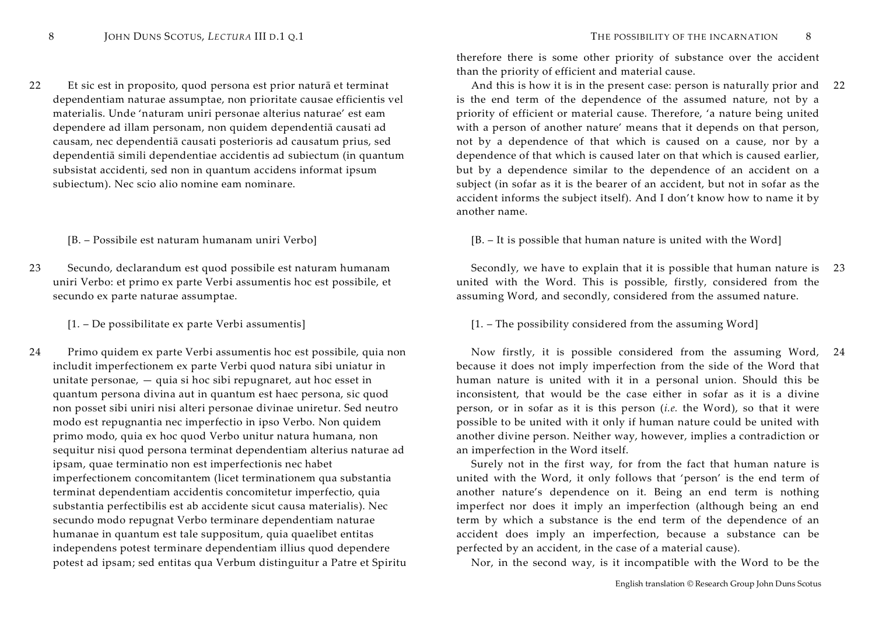22 Et sic est in proposito, quod persona est prior naturā et terminat dependentiam naturae assumptae, non prioritate causae efficientis vel materialis. Unde 'naturam uniri personae alterius naturae' est eam dependere ad illam personam, non quidem dependentiā causati ad causam, nec dependentiā causati posterioris ad causatum prius, sed dependentiā simili dependentiae accidentis ad subiectum (in quantum subsistat accidenti, sed non in quantum accidens informat ipsum subiectum). Nec scio alio nomine eam nominare.

23 Secundo, declarandum est quod possibile est naturam humanam uniri Verbo: et primo ex parte Verbi assumentis hoc est possibile, et secundo ex parte naturae assumptae.

24 Primo quidem ex parte Verbi assumentis hoc est possibile, quia non includit imperfectionem ex parte Verbi quod natura sibi uniatur in unitate personae, — quia si hoc sibi repugnaret, aut hoc esset in quantum persona divina aut in quantum est haec persona, sic quod non posset sibi uniri nisi alteri personae divinae uniretur. Sed neutro modo est repugnantia nec imperfectio in ipso Verbo. Non quidem primo modo, quia ex hoc quod Verbo unitur natura humana, non sequitur nisi quod persona terminat dependentiam alterius naturae ad ipsam, quae terminatio non est imperfectionis nec habet imperfectionem concomitantem (licet terminationem qua substantia terminat dependentiam accidentis concomitetur imperfectio, quia substantia perfectibilis est ab accidente sicut causa materialis). Nec secundo modo repugnat Verbo terminare dependentiam naturae humanae in quantum est tale suppositum, quia quaelibet entitas independens potest terminare dependentiam illius quod dependere potest ad ipsam; sed entitas qua Verbum distinguitur a Patre et Spiritu

therefore there is some other priority of substance over the accident than the priority of efficient and material cause.

 And this is how it is in the present case: person is naturally prior and is the end term of the dependence of the assumed nature, not by a priority of efficient or material cause. Therefore, 'a nature being united with a person of another nature' means that it depends on that person, not by a dependence of that which is caused on a cause, nor by a dependence of that which is caused later on that which is caused earlier, but by a dependence similar to the dependence of an accident on a subject (in sofar as it is the bearer of an accident, but not in sofar as the accident informs the subject itself). And I don't know how to name it by another name. 22

[B. – Possibile est naturam humanam uniri Verbo] [B. – It is possible that human nature is united with the Word]

 Secondly, we have to explain that it is possible that human nature is 23united with the Word. This is possible, firstly, considered from the assuming Word, and secondly, considered from the assumed nature.

[1. – De possibilitate ex parte Verbi assumentis] [1. – The possibility considered from the assuming Word]

 Now firstly, it is possible considered from the assuming Word, 24because it does not imply imperfection from the side of the Word that human nature is united with it in a personal union. Should this be inconsistent, that would be the case either in sofar as it is a divine person, or in sofar as it is this person (*i.e.* the Word), so that it were possible to be united with it only if human nature could be united with another divine person. Neither way, however, implies a contradiction or an imperfection in the Word itself.

Surely not in the first way, for from the fact that human nature is united with the Word, it only follows that 'person' is the end term of another nature's dependence on it. Being an end term is nothing imperfect nor does it imply an imperfection (although being an end term by which a substance is the end term of the dependence of an accident does imply an imperfection, because a substance can be perfected by an accident, in the case of a material cause).

Nor, in the second way, is it incompatible with the Word to be the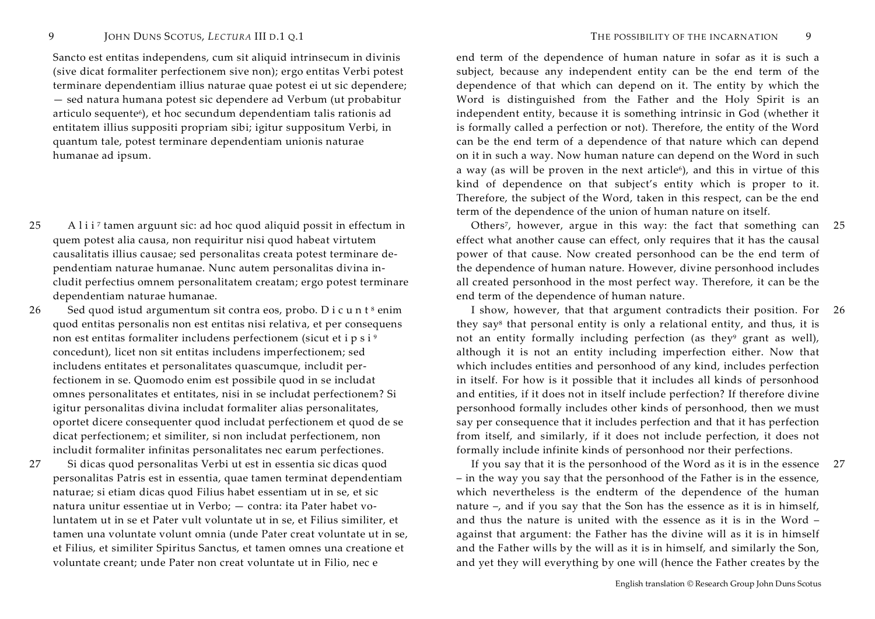Sancto est entitas independens, cum sit aliquid intrinsecum in divinis (sive dicat formaliter perfectionem sive non); ergo entitas Verbi potest terminare dependentiam illius naturae quae potest ei ut sic dependere; — sed natura humana potest sic dependere ad Verbum (ut probabitur articulo sequente<sup>6</sup>), et hoc secundum dependentiam talis rationis ad entitatem illius suppositi propriam sibi; igitur suppositum Verbi, in quantum tale, potest terminare dependentiam unionis naturae humanae ad ipsum.

- 25 A lii<sup>7</sup> tamen arguunt sic: ad hoc quod aliquid possit in effectum in quem potest alia causa, non requiritur nisi quod habeat virtutem causalitatis illius causae; sed personalitas creata potest terminare dependentiam naturae humanae. Nunc autem personalitas divina includit perfectius omnem personalitatem creatam; ergo potest terminare dependentiam naturae humanae.
- 26 Sed quod istud argumentum sit contra eos, probo. D i c u n  $t^8$  enim quod entitas personalis non est entitas nisi relativa, et per consequens non est entitas formaliter includens perfectionem (sicut et i <sup>p</sup> <sup>s</sup> <sup>i</sup> <sup>9</sup> concedunt), licet non sit entitas includens imperfectionem; sed includens entitates et personalitates quascumque, includit perfectionem in se. Quomodo enim est possibile quod in se includat omnes personalitates et entitates, nisi in se includat perfectionem? Si igitur personalitas divina includat formaliter alias personalitates, oportet dicere consequenter quod includat perfectionem et quod de se dicat perfectionem; et similiter, si non includat perfectionem, non includit formaliter infinitas personalitates nec earum perfectiones.
- 27 Si dicas quod personalitas Verbi ut est in essentia sic dicas quod personalitas Patris est in essentia, quae tamen terminat dependentiam naturae; si etiam dicas quod Filius habet essentiam ut in se, et sic natura unitur essentiae ut in Verbo; — contra: ita Pater habet voluntatem ut in se et Pater vult voluntate ut in se, et Filius similiter, et tamen una voluntate volunt omnia (unde Pater creat voluntate ut in se, et Filius, et similiter Spiritus Sanctus, et tamen omnes una creatione et voluntate creant; unde Pater non creat voluntate ut in Filio, nec e

end term of the dependence of human nature in sofar as it is such a subject, because any independent entity can be the end term of the dependence of that which can depend on it. The entity by which the Word is distinguished from the Father and the Holy Spirit is an independent entity, because it is something intrinsic in God (whether it is formally called a perfection or not). Therefore, the entity of the Word can be the end term of a dependence of that nature which can depend on it in such a way. Now human nature can depend on the Word in such a way (as will be proven in the next article<sup>6</sup>), and this in virtue of this kind of dependence on that subject's entity which is proper to it. Therefore, the subject of the Word, taken in this respect, can be the end term of the dependence of the union of human nature on itself.

 Others<sup>7</sup>, however, argue in this way: the fact that something can 25effect what another cause can effect, only requires that it has the causal power of that cause. Now created personhood can be the end term of the dependence of human nature. However, divine personhood includes all created personhood in the most perfect way. Therefore, it can be the end term of the dependence of human nature.

 I show, however, that that argument contradicts their position. For 26they say8 that personal entity is only a relational entity, and thus, it is not an entity formally including perfection (as they $9$  grant as well), although it is not an entity including imperfection either. Now that which includes entities and personhood of any kind, includes perfection in itself. For how is it possible that it includes all kinds of personhood and entities, if it does not in itself include perfection? If therefore divine personhood formally includes other kinds of personhood, then we must say per consequence that it includes perfection and that it has perfection from itself, and similarly, if it does not include perfection, it does not formally include infinite kinds of personhood nor their perfections.

 If you say that it is the personhood of the Word as it is in the essence 27– in the way you say that the personhood of the Father is in the essence, which nevertheless is the endterm of the dependence of the human nature –, and if you say that the Son has the essence as it is in himself, and thus the nature is united with the essence as it is in the Word – against that argument: the Father has the divine will as it is in himself and the Father wills by the will as it is in himself, and similarly the Son, and yet they will everything by one will (hence the Father creates by the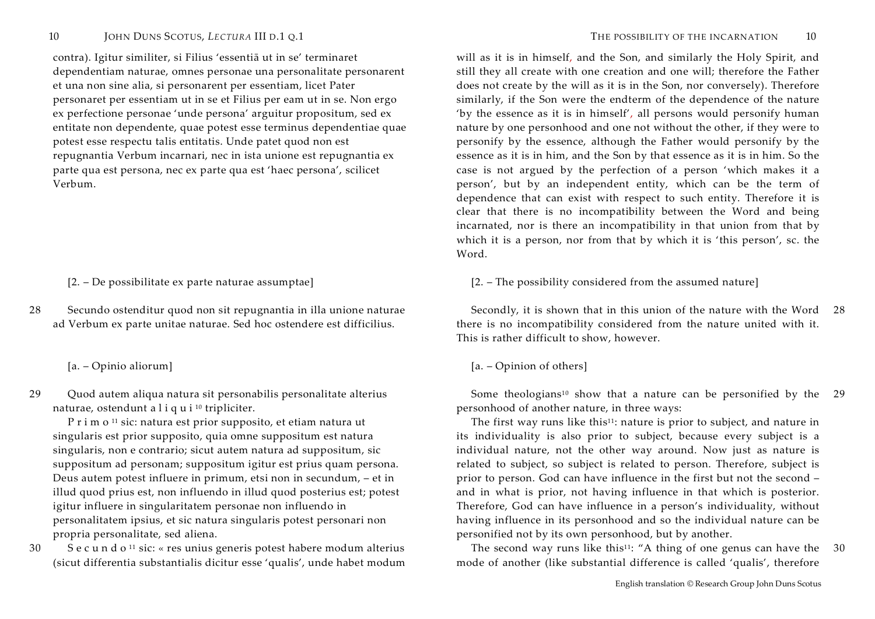contra). Igitur similiter, si Filius 'essentiā ut in se' terminaret dependentiam naturae, omnes personae una personalitate personarent et una non sine alia, si personarent per essentiam, licet Pater personaret per essentiam ut in se et Filius per eam ut in se. Non ergo ex perfectione personae 'unde persona' arguitur propositum, sed ex entitate non dependente, quae potest esse terminus dependentiae quae potest esse respectu talis entitatis. Unde patet quod non est repugnantia Verbum incarnari, nec in ista unione est repugnantia ex parte qua est persona, nec ex parte qua est 'haec persona', scilicet Verbum.

28 Secundo ostenditur quod non sit repugnantia in illa unione naturae ad Verbum ex parte unitae naturae. Sed hoc ostendere est difficilius.

29 Quod autem aliqua natura sit personabilis personalitate alterius naturae, ostendunt a <sup>l</sup> <sup>i</sup> <sup>q</sup> <sup>u</sup> <sup>i</sup> <sup>10</sup> tripliciter.

<sup>P</sup> <sup>r</sup> <sup>i</sup> <sup>m</sup> <sup>o</sup> <sup>11</sup> sic: natura est prior supposito, et etiam natura ut singularis est prior supposito, quia omne suppositum est natura singularis, non e contrario; sicut autem natura ad suppositum, sic suppositum ad personam; suppositum igitur est prius quam persona. Deus autem potest influere in primum, etsi non in secundum, – et in illud quod prius est, non influendo in illud quod posterius est; potest igitur influere in singularitatem personae non influendo in personalitatem ipsius, et sic natura singularis potest personari non propria personalitate, sed aliena.

30 S <sup>e</sup> <sup>c</sup> <sup>u</sup> <sup>n</sup> <sup>d</sup> <sup>o</sup> <sup>11</sup> sic: « res unius generis potest habere modum alterius (sicut differentia substantialis dicitur esse 'qualis', unde habet modum

will as it is in himself, and the Son, and similarly the Holy Spirit, and still they all create with one creation and one will; therefore the Father does not create by the will as it is in the Son, nor conversely). Therefore similarly, if the Son were the endterm of the dependence of the nature 'by the essence as it is in himself', all persons would personify human nature by one personhood and one not without the other, if they were to personify by the essence, although the Father would personify by the essence as it is in him, and the Son by that essence as it is in him. So the case is not argued by the perfection of a person 'which makes it a person', but by an independent entity, which can be the term of dependence that can exist with respect to such entity. Therefore it is clear that there is no incompatibility between the Word and being incarnated, nor is there an incompatibility in that union from that by which it is a person, nor from that by which it is 'this person', sc. the Word.

[2. – De possibilitate ex parte naturae assumptae] [2. – The possibility considered from the assumed nature]

 Secondly, it is shown that in this union of the nature with the Word 28there is no incompatibility considered from the nature united with it. This is rather difficult to show, however.

[a. – Opinio aliorum] [a. – Opinion of others]

Some theologians<sup>10</sup> show that a nature can be personified by the 29 personhood of another nature, in three ways:

The first way runs like this<sup>11</sup>: nature is prior to subject, and nature in its individuality is also prior to subject, because every subject is a individual nature, not the other way around. Now just as nature is related to subject, so subject is related to person. Therefore, subject is prior to person. God can have influence in the first but not the second – and in what is prior, not having influence in that which is posterior. Therefore, God can have influence in a person's individuality, without having influence in its personhood and so the individual nature can be personified not by its own personhood, but by another.

The second way runs like this<sup>11</sup>: "A thing of one genus can have the  $30$ mode of another (like substantial difference is called 'qualis', therefore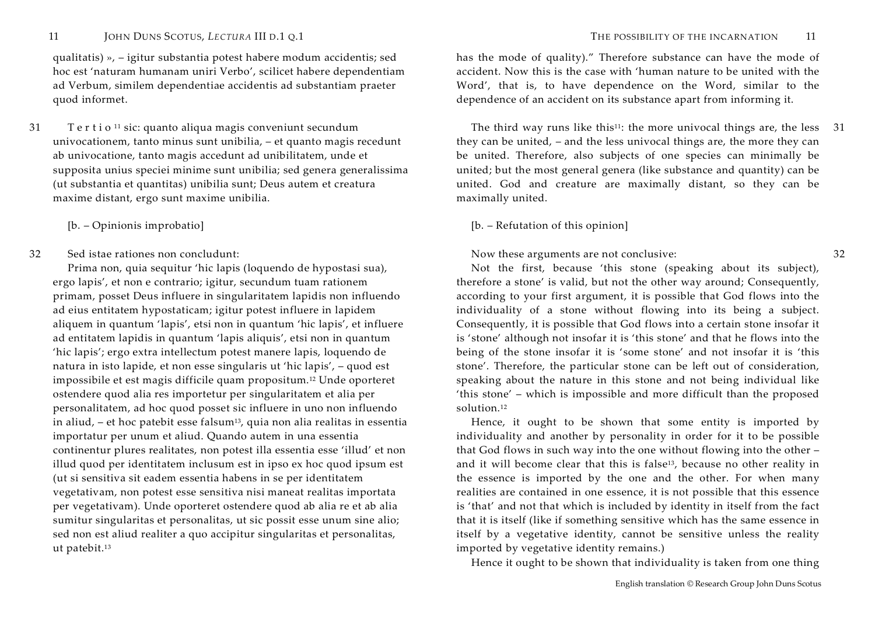qualitatis) », – igitur substantia potest habere modum accidentis; sed hoc est 'naturam humanam uniri Verbo', scilicet habere dependentiam ad Verbum, similem dependentiae accidentis ad substantiam praeter quod informet.

- 31 Tertio<sup>11</sup> sic: quanto aliqua magis conveniunt secundum univocationem, tanto minus sunt unibilia, – et quanto magis recedunt ab univocatione, tanto magis accedunt ad unibilitatem, unde et supposita unius speciei minime sunt unibilia; sed genera generalissima (ut substantia et quantitas) unibilia sunt; Deus autem et creatura maxime distant, ergo sunt maxime unibilia.
	-
- 32 Sed istae rationes non concludunt:

Prima non, quia sequitur 'hic lapis (loquendo de hypostasi sua), ergo lapis', et non e contrario; igitur, secundum tuam rationem primam, posset Deus influere in singularitatem lapidis non influendo ad eius entitatem hypostaticam; igitur potest influere in lapidem aliquem in quantum 'lapis', etsi non in quantum 'hic lapis', et influere ad entitatem lapidis in quantum 'lapis aliquis', etsi non in quantum 'hic lapis'; ergo extra intellectum potest manere lapis, loquendo de natura in isto lapide, et non esse singularis ut 'hic lapis', – quod est impossibile et est magis difficile quam propositum.12 Unde oporteret ostendere quod alia res importetur per singularitatem et alia per personalitatem, ad hoc quod posset sic influere in uno non influendo in aliud, – et hoc patebit esse falsum<sup>13</sup>, quia non alia realitas in essentia importatur per unum et aliud. Quando autem in una essentia continentur plures realitates, non potest illa essentia esse 'illud' et non illud quod per identitatem inclusum est in ipso ex hoc quod ipsum est (ut si sensitiva sit eadem essentia habens in se per identitatem vegetativam, non potest esse sensitiva nisi maneat realitas importata per vegetativam). Unde oporteret ostendere quod ab alia re et ab alia sumitur singularitas et personalitas, ut sic possit esse unum sine alio; sed non est aliud realiter a quo accipitur singularitas et personalitas, ut patebit.<sup>13</sup>

32

has the mode of quality)." Therefore substance can have the mode of accident. Now this is the case with 'human nature to be united with the Word', that is, to have dependence on the Word, similar to the dependence of an accident on its substance apart from informing it.

The third way runs like this<sup>11</sup>: the more univocal things are, the less  $\,$  31 they can be united, – and the less univocal things are, the more they can be united. Therefore, also subjects of one species can minimally be united; but the most general genera (like substance and quantity) can be united. God and creature are maximally distant, so they can be maximally united.

# [b. – Opinionis improbatio] [b. – Refutation of this opinion]

# Now these arguments are not conclusive:

Not the first, because 'this stone (speaking about its subject), therefore a stone' is valid, but not the other way around; Consequently, according to your first argument, it is possible that God flows into the individuality of a stone without flowing into its being a subject. Consequently, it is possible that God flows into a certain stone insofar it is 'stone' although not insofar it is 'this stone' and that he flows into the being of the stone insofar it is 'some stone' and not insofar it is 'this stone'. Therefore, the particular stone can be left out of consideration, speaking about the nature in this stone and not being individual like 'this stone' – which is impossible and more difficult than the proposed solution.12

Hence, it ought to be shown that some entity is imported by individuality and another by personality in order for it to be possible that God flows in such way into the one without flowing into the other – and it will become clear that this is false<sup>13</sup>, because no other reality in the essence is imported by the one and the other. For when many realities are contained in one essence, it is not possible that this essence is 'that' and not that which is included by identity in itself from the fact that it is itself (like if something sensitive which has the same essence in itself by a vegetative identity, cannot be sensitive unless the reality imported by vegetative identity remains.)

Hence it ought to be shown that individuality is taken from one thing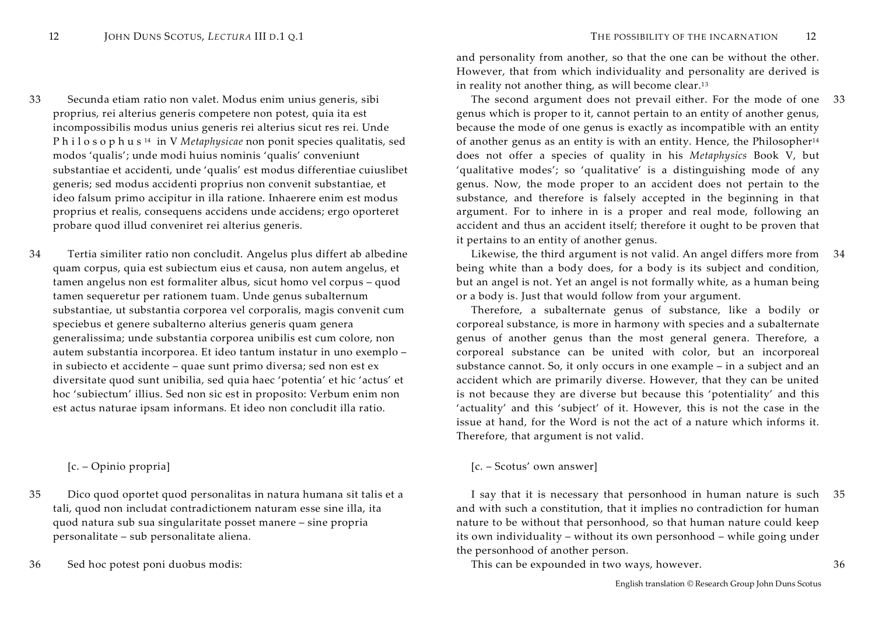- 33 Secunda etiam ratio non valet. Modus enim unius generis, sibi proprius, rei alterius generis competere non potest, quia ita est incompossibilis modus unius generis rei alterius sicut res rei. Unde <sup>P</sup> <sup>h</sup> <sup>i</sup> <sup>l</sup> <sup>o</sup> <sup>s</sup> <sup>o</sup> <sup>p</sup> <sup>h</sup> <sup>u</sup> <sup>s</sup> <sup>14</sup> in V *Metaphysicae* non ponit species qualitatis, sed modos 'qualis'; unde modi huius nominis 'qualis' conveniunt substantiae et accidenti, unde 'qualis' est modus differentiae cuiuslibet generis; sed modus accidenti proprius non convenit substantiae, et ideo falsum primo accipitur in illa ratione. Inhaerere enim est modus proprius et realis, consequens accidens unde accidens; ergo oporteret probare quod illud conveniret rei alterius generis.
- 34 Tertia similiter ratio non concludit. Angelus plus differt ab albedine quam corpus, quia est subiectum eius et causa, non autem angelus, et tamen angelus non est formaliter albus, sicut homo vel corpus – quod tamen sequeretur per rationem tuam. Unde genus subalternum substantiae, ut substantia corporea vel corporalis, magis convenit cum speciebus et genere subalterno alterius generis quam genera generalissima; unde substantia corporea unibilis est cum colore, non autem substantia incorporea. Et ideo tantum instatur in uno exemplo – in subiecto et accidente – quae sunt primo diversa; sed non est ex diversitate quod sunt unibilia, sed quia haec 'potentia' et hic 'actus' et hoc 'subiectum' illius. Sed non sic est in proposito: Verbum enim non est actus naturae ipsam informans. Et ideo non concludit illa ratio.

- 35 Dico quod oportet quod personalitas in natura humana sit talis et a tali, quod non includat contradictionem naturam esse sine illa, ita quod natura sub sua singularitate posset manere – sine propria personalitate – sub personalitate aliena.
- 

and personality from another, so that the one can be without the other. However, that from which individuality and personality are derived is in reality not another thing, as will become clear.<sup>13</sup>

 The second argument does not prevail either. For the mode of one 33genus which is proper to it, cannot pertain to an entity of another genus, because the mode of one genus is exactly as incompatible with an entity of another genus as an entity is with an entity. Hence, the Philosopher<sup>14</sup> does not offer a species of quality in his *Metaphysics* Book V, but 'qualitative modes'; so 'qualitative' is a distinguishing mode of any genus. Now, the mode proper to an accident does not pertain to the substance, and therefore is falsely accepted in the beginning in that argument. For to inhere in is a proper and real mode, following an accident and thus an accident itself; therefore it ought to be proven that it pertains to an entity of another genus.

 Likewise, the third argument is not valid. An angel differs more from 34being white than a body does, for a body is its subject and condition, but an angel is not. Yet an angel is not formally white, as a human being or a body is. Just that would follow from your argument.

Therefore, a subalternate genus of substance, like a bodily or corporeal substance, is more in harmony with species and a subalternate genus of another genus than the most general genera. Therefore, a corporeal substance can be united with color, but an incorporeal substance cannot. So, it only occurs in one example – in a subject and an accident which are primarily diverse. However, that they can be united is not because they are diverse but because this 'potentiality' and this 'actuality' and this 'subject' of it. However, this is not the case in the issue at hand, for the Word is not the act of a nature which informs it. Therefore, that argument is not valid.

# [c. – Opinio propria] [c. – Scotus' own answer]

 I say that it is necessary that personhood in human nature is such 35and with such a constitution, that it implies no contradiction for human nature to be without that personhood, so that human nature could keep its own individuality – without its own personhood – while going under the personhood of another person.

36 Sed hoc potest poni duobus modis: This can be expounded in two ways, however. 36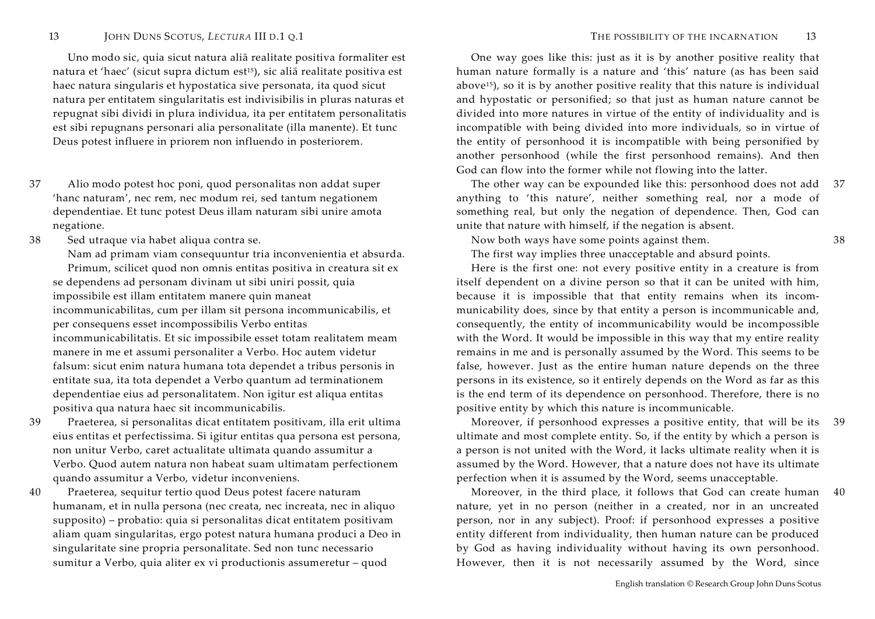Uno modo sic, quia sicut natura aliā realitate positiva formaliter est natura et 'haec' (sicut supra dictum est15), sic aliā realitate positiva est haec natura singularis et hypostatica sive personata, ita quod sicut natura per entitatem singularitatis est indivisibilis in pluras naturas et repugnat sibi dividi in plura individua, ita per entitatem personalitatis est sibi repugnans personari alia personalitate (illa manente). Et tunc Deus potest influere in priorem non influendo in posteriorem.

- 37 Alio modo potest hoc poni, quod personalitas non addat super 'hanc naturam', nec rem, nec modum rei, sed tantum negationem dependentiae. Et tunc potest Deus illam naturam sibi unire amota negatione.
- 38 Sed utraque via habet aliqua contra se.

Nam ad primam viam consequuntur tria inconvenientia et absurda. Primum, scilicet quod non omnis entitas positiva in creatura sit ex se dependens ad personam divinam ut sibi uniri possit, quia impossibile est illam entitatem manere quin maneat incommunicabilitas, cum per illam sit persona incommunicabilis, et per consequens esset incompossibilis Verbo entitas incommunicabilitatis. Et sic impossibile esset totam realitatem meam manere in me et assumi personaliter a Verbo. Hoc autem videtur falsum: sicut enim natura humana tota dependet a tribus personis in entitate sua, ita tota dependet a Verbo quantum ad terminationem dependentiae eius ad personalitatem. Non igitur est aliqua entitas positiva qua natura haec sit incommunicabilis.

- 39 Praeterea, si personalitas dicat entitatem positivam, illa erit ultima eius entitas et perfectissima. Si igitur entitas qua persona est persona, non unitur Verbo, caret actualitate ultimata quando assumitur a Verbo. Quod autem natura non habeat suam ultimatam perfectionem quando assumitur a Verbo, videtur inconveniens.
- 40 Praeterea, sequitur tertio quod Deus potest facere naturam humanam, et in nulla persona (nec creata, nec increata, nec in aliquo supposito) – probatio: quia si personalitas dicat entitatem positivam aliam quam singularitas, ergo potest natura humana produci a Deo in singularitate sine propria personalitate. Sed non tunc necessario sumitur a Verbo, quia aliter ex vi productionis assumeretur – quod

One way goes like this: just as it is by another positive reality that human nature formally is a nature and 'this' nature (as has been said above15), so it is by another positive reality that this nature is individual and hypostatic or personified; so that just as human nature cannot be divided into more natures in virtue of the entity of individuality and is incompatible with being divided into more individuals, so in virtue of the entity of personhood it is incompatible with being personified by another personhood (while the first personhood remains). And then God can flow into the former while not flowing into the latter.

 The other way can be expounded like this: personhood does not add anything to 'this nature', neither something real, nor a mode of something real, but only the negation of dependence. Then, God can unite that nature with himself, if the negation is absent. 37

Now both ways have some points against them.

The first way implies three unacceptable and absurd points.

Here is the first one: not every positive entity in a creature is from itself dependent on a divine person so that it can be united with him, because it is impossible that that entity remains when its incommunicability does, since by that entity a person is incommunicable and, consequently, the entity of incommunicability would be incompossible with the Word. It would be impossible in this way that my entire reality remains in me and is personally assumed by the Word. This seems to be false, however. Just as the entire human nature depends on the three persons in its existence, so it entirely depends on the Word as far as this is the end term of its dependence on personhood. Therefore, there is no positive entity by which this nature is incommunicable.

 Moreover, if personhood expresses a positive entity, that will be its ultimate and most complete entity. So, if the entity by which a person is a person is not united with the Word, it lacks ultimate reality when it is assumed by the Word. However, that a nature does not have its ultimate perfection when it is assumed by the Word, seems unacceptable. 39

 Moreover, in the third place, it follows that God can create human 40nature, yet in no person (neither in a created, nor in an uncreated person, nor in any subject). Proof: if personhood expresses a positive entity different from individuality, then human nature can be produced by God as having individuality without having its own personhood. However, then it is not necessarily assumed by the Word, since

38

English translation © Research Group John Duns Scotus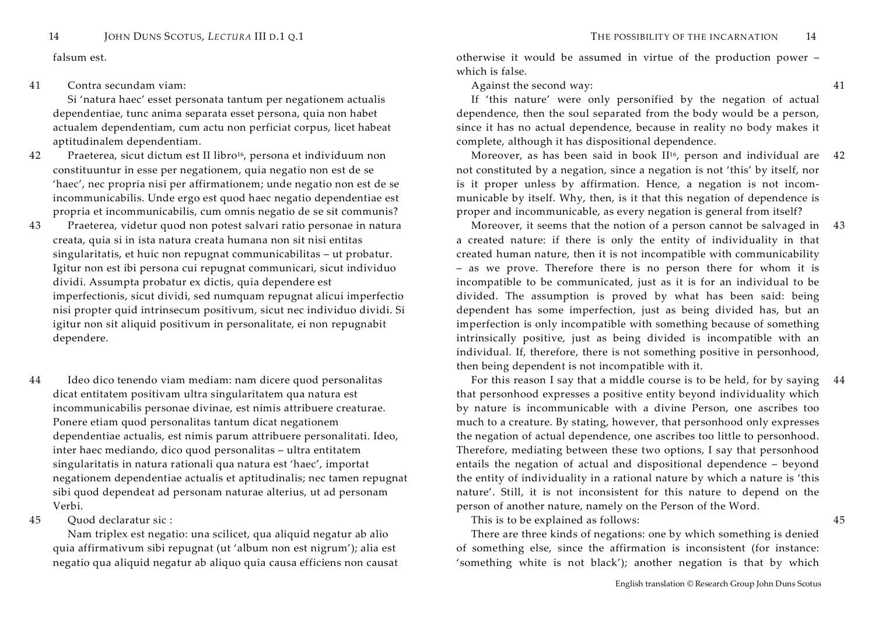# 41 Contra secundam viam:

Si 'natura haec' esset personata tantum per negationem actualis dependentiae, tunc anima separata esset persona, quia non habet actualem dependentiam, cum actu non perficiat corpus, licet habeat aptitudinalem dependentiam.

- 42 Praeterea, sicut dictum est II libro<sup>16</sup>, persona et individuum non constituuntur in esse per negationem, quia negatio non est de se 'haec', nec propria nisi per affirmationem; unde negatio non est de se incommunicabilis. Unde ergo est quod haec negatio dependentiae est propria et incommunicabilis, cum omnis negatio de se sit communis?
- 43 Praeterea, videtur quod non potest salvari ratio personae in natura creata, quia si in ista natura creata humana non sit nisi entitas singularitatis, et huic non repugnat communicabilitas – ut probatur. Igitur non est ibi persona cui repugnat communicari, sicut individuo dividi. Assumpta probatur ex dictis, quia dependere est imperfectionis, sicut dividi, sed numquam repugnat alicui imperfectio nisi propter quid intrinsecum positivum, sicut nec individuo dividi. Si igitur non sit aliquid positivum in personalitate, ei non repugnabit dependere.
- 44 Ideo dico tenendo viam mediam: nam dicere quod personalitas dicat entitatem positivam ultra singularitatem qua natura est incommunicabilis personae divinae, est nimis attribuere creaturae. Ponere etiam quod personalitas tantum dicat negationem dependentiae actualis, est nimis parum attribuere personalitati. Ideo, inter haec mediando, dico quod personalitas – ultra entitatem singularitatis in natura rationali qua natura est 'haec', importat negationem dependentiae actualis et aptitudinalis; nec tamen repugnat sibi quod dependeat ad personam naturae alterius, ut ad personam Verbi.

### 45 Quod declaratur sic :

Nam triplex est negatio: una scilicet, qua aliquid negatur ab alio quia affirmativum sibi repugnat (ut 'album non est nigrum'); alia est negatio qua aliquid negatur ab aliquo quia causa efficiens non causat

falsum est. otherwise it would be assumed in virtue of the production power – which is false.

Against the second way:

If 'this nature' were only personified by the negation of actual dependence, then the soul separated from the body would be a person, since it has no actual dependence, because in reality no body makes it complete, although it has dispositional dependence.

Moreover, as has been said in book  $II^{16}$ , person and individual are 42 not constituted by a negation, since a negation is not 'this' by itself, nor is it proper unless by affirmation. Hence, a negation is not incommunicable by itself. Why, then, is it that this negation of dependence is proper and incommunicable, as every negation is general from itself?

 Moreover, it seems that the notion of a person cannot be salvaged in 43a created nature: if there is only the entity of individuality in that created human nature, then it is not incompatible with communicability – as we prove. Therefore there is no person there for whom it is incompatible to be communicated, just as it is for an individual to be divided. The assumption is proved by what has been said: being dependent has some imperfection, just as being divided has, but an imperfection is only incompatible with something because of something intrinsically positive, just as being divided is incompatible with an individual. If, therefore, there is not something positive in personhood, then being dependent is not incompatible with it.

 For this reason I say that a middle course is to be held, for by saying that personhood expresses a positive entity beyond individuality which by nature is incommunicable with a divine Person, one ascribes too much to a creature. By stating, however, that personhood only expresses the negation of actual dependence, one ascribes too little to personhood. Therefore, mediating between these two options, I say that personhood entails the negation of actual and dispositional dependence – beyond the entity of individuality in a rational nature by which a nature is 'this nature'. Still, it is not inconsistent for this nature to depend on the person of another nature, namely on the Person of the Word. 44

This is to be explained as follows:

There are three kinds of negations: one by which something is denied of something else, since the affirmation is inconsistent (for instance: 'something white is not black'); another negation is that by which 45

41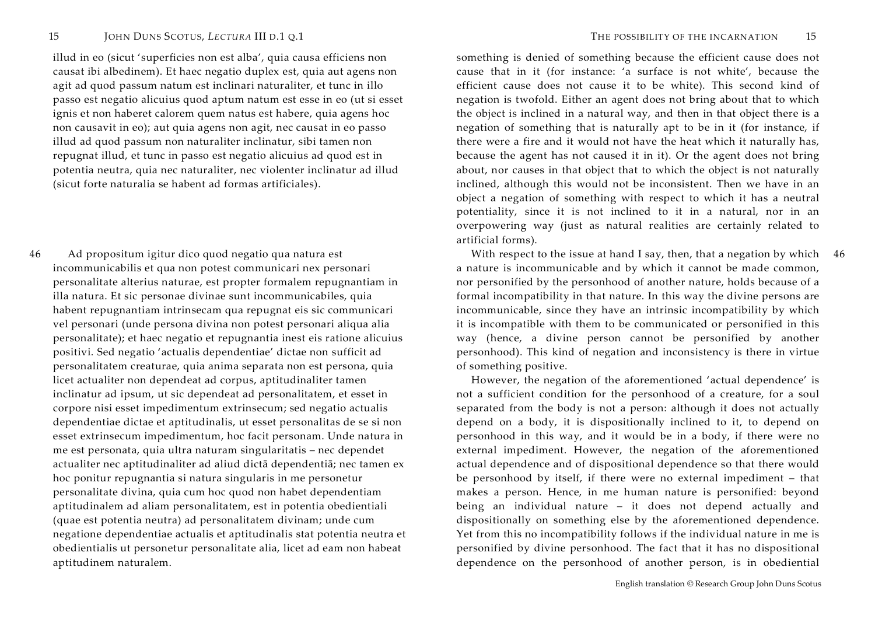illud in eo (sicut 'superficies non est alba', quia causa efficiens non causat ibi albedinem). Et haec negatio duplex est, quia aut agens non agit ad quod passum natum est inclinari naturaliter, et tunc in illo passo est negatio alicuius quod aptum natum est esse in eo (ut si esset ignis et non haberet calorem quem natus est habere, quia agens hoc non causavit in eo); aut quia agens non agit, nec causat in eo passo illud ad quod passum non naturaliter inclinatur, sibi tamen non repugnat illud, et tunc in passo est negatio alicuius ad quod est in potentia neutra, quia nec naturaliter, nec violenter inclinatur ad illud (sicut forte naturalia se habent ad formas artificiales).

46 Ad propositum igitur dico quod negatio qua natura est incommunicabilis et qua non potest communicari nex personari personalitate alterius naturae, est propter formalem repugnantiam in illa natura. Et sic personae divinae sunt incommunicabiles, quia habent repugnantiam intrinsecam qua repugnat eis sic communicari vel personari (unde persona divina non potest personari aliqua alia personalitate); et haec negatio et repugnantia inest eis ratione alicuius positivi. Sed negatio 'actualis dependentiae' dictae non sufficit ad personalitatem creaturae, quia anima separata non est persona, quia licet actualiter non dependeat ad corpus, aptitudinaliter tamen inclinatur ad ipsum, ut sic dependeat ad personalitatem, et esset in corpore nisi esset impedimentum extrinsecum; sed negatio actualis dependentiae dictae et aptitudinalis, ut esset personalitas de se si non esset extrinsecum impedimentum, hoc facit personam. Unde natura in me est personata, quia ultra naturam singularitatis – nec dependet actualiter nec aptitudinaliter ad aliud dictā dependentiā; nec tamen ex hoc ponitur repugnantia si natura singularis in me personetur personalitate divina, quia cum hoc quod non habet dependentiam aptitudinalem ad aliam personalitatem, est in potentia obedientiali (quae est potentia neutra) ad personalitatem divinam; unde cum negatione dependentiae actualis et aptitudinalis stat potentia neutra et obedientialis ut personetur personalitate alia, licet ad eam non habeat aptitudinem naturalem.

something is denied of something because the efficient cause does not cause that in it (for instance: 'a surface is not white', because the efficient cause does not cause it to be white). This second kind of negation is twofold. Either an agent does not bring about that to which the object is inclined in a natural way, and then in that object there is a negation of something that is naturally apt to be in it (for instance, if there were a fire and it would not have the heat which it naturally has, because the agent has not caused it in it). Or the agent does not bring about, nor causes in that object that to which the object is not naturally inclined, although this would not be inconsistent. Then we have in an object a negation of something with respect to which it has a neutral potentiality, since it is not inclined to it in a natural, nor in an overpowering way (just as natural realities are certainly related to artificial forms).

With respect to the issue at hand I say, then, that a negation by which 46 a nature is incommunicable and by which it cannot be made common, nor personified by the personhood of another nature, holds because of a formal incompatibility in that nature. In this way the divine persons are incommunicable, since they have an intrinsic incompatibility by which it is incompatible with them to be communicated or personified in this way (hence, a divine person cannot be personified by another personhood). This kind of negation and inconsistency is there in virtue of something positive.

However, the negation of the aforementioned 'actual dependence' is not a sufficient condition for the personhood of a creature, for a soul separated from the body is not a person: although it does not actually depend on a body, it is dispositionally inclined to it, to depend on personhood in this way, and it would be in a body, if there were no external impediment. However, the negation of the aforementioned actual dependence and of dispositional dependence so that there would be personhood by itself, if there were no external impediment – that makes a person. Hence, in me human nature is personified: beyond being an individual nature – it does not depend actually and dispositionally on something else by the aforementioned dependence. Yet from this no incompatibility follows if the individual nature in me is personified by divine personhood. The fact that it has no dispositional dependence on the personhood of another person, is in obediential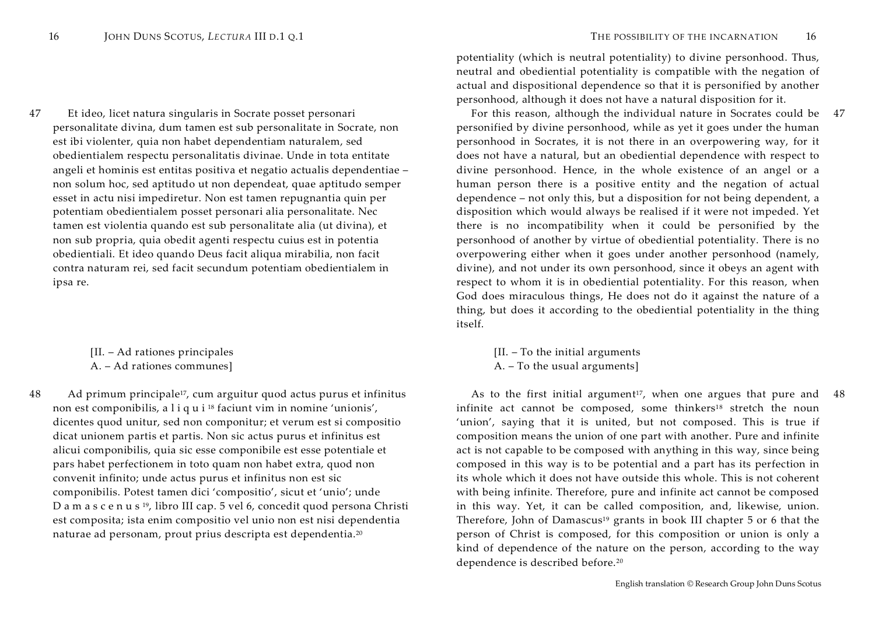47 Et ideo, licet natura singularis in Socrate posset personari personalitate divina, dum tamen est sub personalitate in Socrate, non est ibi violenter, quia non habet dependentiam naturalem, sed obedientialem respectu personalitatis divinae. Unde in tota entitate angeli et hominis est entitas positiva et negatio actualis dependentiae – non solum hoc, sed aptitudo ut non dependeat, quae aptitudo semper esset in actu nisi impediretur. Non est tamen repugnantia quin per potentiam obedientialem posset personari alia personalitate. Nec tamen est violentia quando est sub personalitate alia (ut divina), et non sub propria, quia obedit agenti respectu cuius est in potentia obedientiali. Et ideo quando Deus facit aliqua mirabilia, non facit contra naturam rei, sed facit secundum potentiam obedientialem in ipsa re.

> [II. – Ad rationes principales A. – Ad rationes communes]

48 Ad primum principale<sup>17</sup>, cum arguitur quod actus purus et infinitus non est componibilis, a <sup>l</sup> <sup>i</sup> <sup>q</sup> <sup>u</sup> <sup>i</sup> <sup>18</sup> faciunt vim in nomine 'unionis', dicentes quod unitur, sed non componitur; et verum est si compositio dicat unionem partis et partis. Non sic actus purus et infinitus est alicui componibilis, quia sic esse componibile est esse potentiale et pars habet perfectionem in toto quam non habet extra, quod non convenit infinito; unde actus purus et infinitus non est sic componibilis. Potest tamen dici 'compositio', sicut et 'unio'; unde <sup>D</sup> <sup>a</sup> <sup>m</sup> <sup>a</sup> <sup>s</sup> <sup>c</sup> <sup>e</sup> <sup>n</sup> <sup>u</sup> <sup>s</sup> <sup>19</sup>, libro III cap. 5 vel 6, concedit quod persona Christi est composita; ista enim compositio vel unio non est nisi dependentia naturae ad personam, prout prius descripta est dependentia.<sup>20</sup>

potentiality (which is neutral potentiality) to divine personhood. Thus, neutral and obediential potentiality is compatible with the negation of actual and dispositional dependence so that it is personified by another personhood, although it does not have a natural disposition for it.

 For this reason, although the individual nature in Socrates could be 47personified by divine personhood, while as yet it goes under the human personhood in Socrates, it is not there in an overpowering way, for it does not have a natural, but an obediential dependence with respect to divine personhood. Hence, in the whole existence of an angel or a human person there is a positive entity and the negation of actual dependence – not only this, but a disposition for not being dependent, a disposition which would always be realised if it were not impeded. Yet there is no incompatibility when it could be personified by the personhood of another by virtue of obediential potentiality. There is no overpowering either when it goes under another personhood (namely, divine), and not under its own personhood, since it obeys an agent with respect to whom it is in obediential potentiality. For this reason, when God does miraculous things, He does not do it against the nature of a thing, but does it according to the obediential potentiality in the thing itself.

> [II. – To the initial arguments A. – To the usual arguments]

As to the first initial argument<sup>17</sup>, when one argues that pure and  $48$ infinite act cannot be composed, some thinkers<sup>18</sup> stretch the noun 'union', saying that it is united, but not composed. This is true if composition means the union of one part with another. Pure and infinite act is not capable to be composed with anything in this way, since being composed in this way is to be potential and a part has its perfection in its whole which it does not have outside this whole. This is not coherent with being infinite. Therefore, pure and infinite act cannot be composed in this way. Yet, it can be called composition, and, likewise, union. Therefore, John of Damascus<sup>19</sup> grants in book III chapter 5 or 6 that the person of Christ is composed, for this composition or union is only a kind of dependence of the nature on the person, according to the way dependence is described before.<sup>20</sup>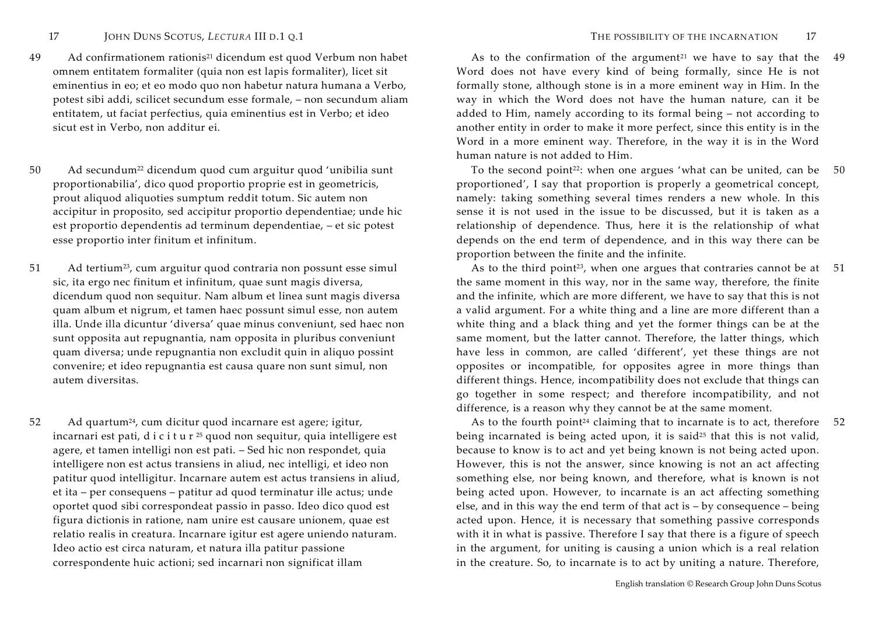- 49 Ad confirmationem rationis21 dicendum est quod Verbum non habet omnem entitatem formaliter (quia non est lapis formaliter), licet sit eminentius in eo; et eo modo quo non habetur natura humana a Verbo, potest sibi addi, scilicet secundum esse formale, – non secundum aliam entitatem, ut faciat perfectius, quia eminentius est in Verbo; et ideo sicut est in Verbo, non additur ei.
- 50 Ad secundum22 dicendum quod cum arguitur quod 'unibilia sunt proportionabilia', dico quod proportio proprie est in geometricis, prout aliquod aliquoties sumptum reddit totum. Sic autem non accipitur in proposito, sed accipitur proportio dependentiae; unde hic est proportio dependentis ad terminum dependentiae, – et sic potest esse proportio inter finitum et infinitum.
- 51 Ad tertium<sup>23</sup>, cum arguitur quod contraria non possunt esse simul sic, ita ergo nec finitum et infinitum, quae sunt magis diversa, dicendum quod non sequitur. Nam album et linea sunt magis diversa quam album et nigrum, et tamen haec possunt simul esse, non autem illa. Unde illa dicuntur 'diversa' quae minus conveniunt, sed haec non sunt opposita aut repugnantia, nam opposita in pluribus conveniunt quam diversa; unde repugnantia non excludit quin in aliquo possint convenire; et ideo repugnantia est causa quare non sunt simul, non autem diversitas.
- 52 Ad quartum<sup>24</sup>, cum dicitur quod incarnare est agere; igitur, incarnari est pati, d <sup>i</sup> <sup>c</sup> <sup>i</sup> <sup>t</sup> <sup>u</sup> <sup>r</sup> <sup>25</sup> quod non sequitur, quia intelligere est agere, et tamen intelligi non est pati. – Sed hic non respondet, quia intelligere non est actus transiens in aliud, nec intelligi, et ideo non patitur quod intelligitur. Incarnare autem est actus transiens in aliud, et ita – per consequens – patitur ad quod terminatur ille actus; unde oportet quod sibi correspondeat passio in passo. Ideo dico quod est figura dictionis in ratione, nam unire est causare unionem, quae est relatio realis in creatura. Incarnare igitur est agere uniendo naturam. Ideo actio est circa naturam, et natura illa patitur passione correspondente huic actioni; sed incarnari non significat illam

As to the confirmation of the argument<sup>21</sup> we have to say that the Word does not have every kind of being formally, since He is not formally stone, although stone is in a more eminent way in Him. In the way in which the Word does not have the human nature, can it be added to Him, namely according to its formal being – not according to another entity in order to make it more perfect, since this entity is in the Word in a more eminent way. Therefore, in the way it is in the Word human nature is not added to Him. 49

To the second point<sup>22</sup>: when one argues 'what can be united, can be 50 proportioned', I say that proportion is properly a geometrical concept, namely: taking something several times renders a new whole. In this sense it is not used in the issue to be discussed, but it is taken as a relationship of dependence. Thus, here it is the relationship of what depends on the end term of dependence, and in this way there can be proportion between the finite and the infinite.

As to the third point<sup>23</sup>, when one argues that contraries cannot be at  $51$ the same moment in this way, nor in the same way, therefore, the finite and the infinite, which are more different, we have to say that this is not a valid argument. For a white thing and a line are more different than a white thing and a black thing and yet the former things can be at the same moment, but the latter cannot. Therefore, the latter things, which have less in common, are called 'different', yet these things are not opposites or incompatible, for opposites agree in more things than different things. Hence, incompatibility does not exclude that things can go together in some respect; and therefore incompatibility, and not difference, is a reason why they cannot be at the same moment.

As to the fourth point<sup>24</sup> claiming that to incarnate is to act, therefore  $52$ being incarnated is being acted upon, it is said<sup>25</sup> that this is not valid, because to know is to act and yet being known is not being acted upon. However, this is not the answer, since knowing is not an act affecting something else, nor being known, and therefore, what is known is not being acted upon. However, to incarnate is an act affecting something else, and in this way the end term of that act is – by consequence – being acted upon. Hence, it is necessary that something passive corresponds with it in what is passive. Therefore I say that there is a figure of speech in the argument, for uniting is causing a union which is a real relation in the creature. So, to incarnate is to act by uniting a nature. Therefore,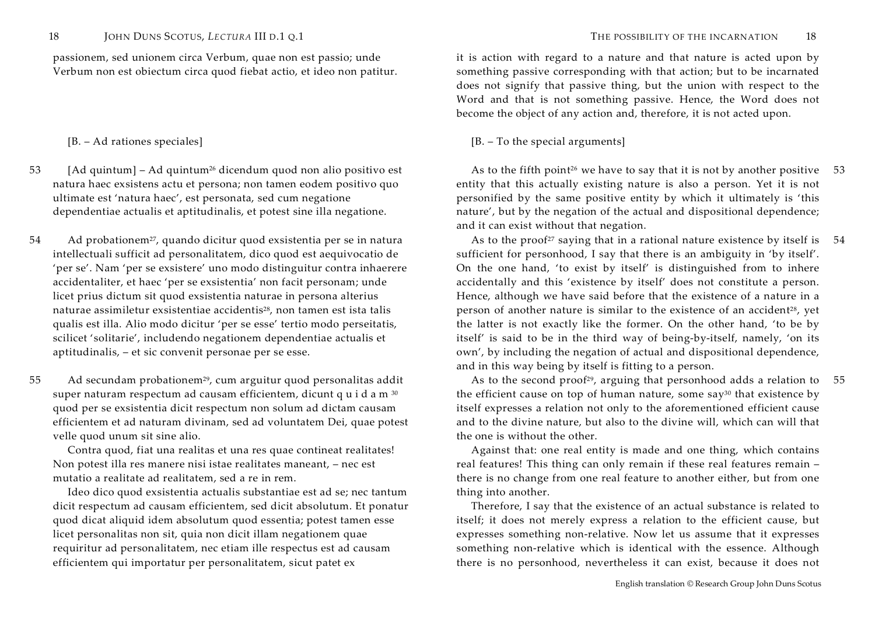passionem, sed unionem circa Verbum, quae non est passio; unde Verbum non est obiectum circa quod fiebat actio, et ideo non patitur.

- 53 [Ad quintum] Ad quintum26 dicendum quod non alio positivo est natura haec exsistens actu et persona; non tamen eodem positivo quo ultimate est 'natura haec', est personata, sed cum negatione dependentiae actualis et aptitudinalis, et potest sine illa negatione.
- 54 Ad probationem<sup>27</sup>, quando dicitur quod exsistentia per se in natura intellectuali sufficit ad personalitatem, dico quod est aequivocatio de 'per se'. Nam 'per se exsistere' uno modo distinguitur contra inhaerere accidentaliter, et haec 'per se exsistentia' non facit personam; unde licet prius dictum sit quod exsistentia naturae in persona alterius naturae assimiletur exsistentiae accidentis<sup>28</sup>, non tamen est ista talis qualis est illa. Alio modo dicitur 'per se esse' tertio modo perseitatis, scilicet 'solitarie', includendo negationem dependentiae actualis et aptitudinalis, – et sic convenit personae per se esse.
- 55 Ad secundam probationem<sup>29</sup>, cum arguitur quod personalitas addit super naturam respectum ad causam efficientem, dicunt q <sup>u</sup> <sup>i</sup> <sup>d</sup> <sup>a</sup> <sup>m</sup> <sup>30</sup> quod per se exsistentia dicit respectum non solum ad dictam causam efficientem et ad naturam divinam, sed ad voluntatem Dei, quae potest velle quod unum sit sine alio.

Contra quod, fiat una realitas et una res quae contineat realitates! Non potest illa res manere nisi istae realitates maneant, – nec est mutatio a realitate ad realitatem, sed a re in rem.

Ideo dico quod exsistentia actualis substantiae est ad se; nec tantum dicit respectum ad causam efficientem, sed dicit absolutum. Et ponatur quod dicat aliquid idem absolutum quod essentia; potest tamen esse licet personalitas non sit, quia non dicit illam negationem quae requiritur ad personalitatem, nec etiam ille respectus est ad causam efficientem qui importatur per personalitatem, sicut patet ex

it is action with regard to a nature and that nature is acted upon by something passive corresponding with that action; but to be incarnated does not signify that passive thing, but the union with respect to the Word and that is not something passive. Hence, the Word does not become the object of any action and, therefore, it is not acted upon.

# [B. – Ad rationes speciales] [B. – To the special arguments]

As to the fifth point<sup>26</sup> we have to say that it is not by another positive  $53$ entity that this actually existing nature is also a person. Yet it is not personified by the same positive entity by which it ultimately is 'this nature', but by the negation of the actual and dispositional dependence; and it can exist without that negation.

As to the proof<sup>27</sup> saying that in a rational nature existence by itself is  $54$ sufficient for personhood, I say that there is an ambiguity in 'by itself'. On the one hand, 'to exist by itself' is distinguished from to inhere accidentally and this 'existence by itself' does not constitute a person. Hence, although we have said before that the existence of a nature in a person of another nature is similar to the existence of an accident<sup>28</sup>, yet the latter is not exactly like the former. On the other hand, 'to be by itself' is said to be in the third way of being-by-itself, namely, 'on its own', by including the negation of actual and dispositional dependence, and in this way being by itself is fitting to a person.

As to the second proof<sup>29</sup>, arguing that personhood adds a relation to the efficient cause on top of human nature, some say30 that existence by itself expresses a relation not only to the aforementioned efficient cause and to the divine nature, but also to the divine will, which can will that the one is without the other. 55

Against that: one real entity is made and one thing, which contains real features! This thing can only remain if these real features remain – there is no change from one real feature to another either, but from one thing into another.

Therefore, I say that the existence of an actual substance is related to itself; it does not merely express a relation to the efficient cause, but expresses something non-relative. Now let us assume that it expresses something non-relative which is identical with the essence. Although there is no personhood, nevertheless it can exist, because it does not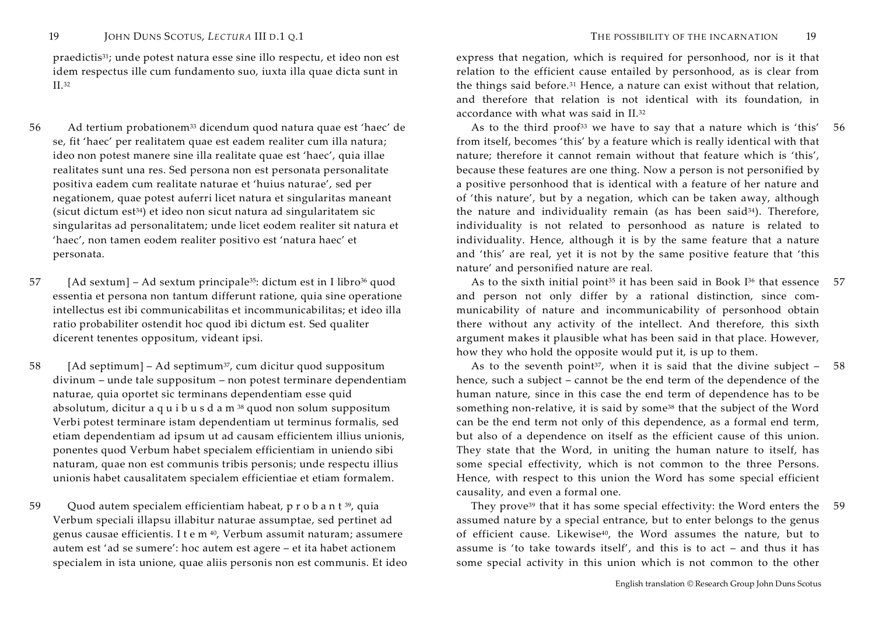praedictis31; unde potest natura esse sine illo respectu, et ideo non est idem respectus ille cum fundamento suo, iuxta illa quae dicta sunt in II.32

- 56 Ad tertium probationem33 dicendum quod natura quae est 'haec' de se, fit 'haec' per realitatem quae est eadem realiter cum illa natura; ideo non potest manere sine illa realitate quae est 'haec', quia illae realitates sunt una res. Sed persona non est personata personalitate positiva eadem cum realitate naturae et 'huius naturae', sed per negationem, quae potest auferri licet natura et singularitas maneant  $(sicut dictum est<sup>34</sup>)$  et ideo non sicut natura ad singularitatem sic singularitas ad personalitatem; unde licet eodem realiter sit natura et 'haec', non tamen eodem realiter positivo est 'natura haec' et personata.
- 57 [Ad sextum] Ad sextum principale<sup>35</sup>: dictum est in I libro<sup>36</sup> quod essentia et persona non tantum differunt ratione, quia sine operatione intellectus est ibi communicabilitas et incommunicabilitas; et ideo illa ratio probabiliter ostendit hoc quod ibi dictum est. Sed qualiter dicerent tenentes oppositum, videant ipsi.
- 58 [Ad septimum] Ad septimum<sup>37</sup>, cum dicitur quod suppositum divinum – unde tale suppositum – non potest terminare dependentiam naturae, quia oportet sic terminans dependentiam esse quid absolutum, dicitur a q <sup>u</sup> <sup>i</sup> <sup>b</sup> <sup>u</sup> <sup>s</sup> <sup>d</sup> <sup>a</sup> <sup>m</sup> <sup>38</sup> quod non solum suppositum Verbi potest terminare istam dependentiam ut terminus formalis, sed etiam dependentiam ad ipsum ut ad causam efficientem illius unionis, ponentes quod Verbum habet specialem efficientiam in uniendo sibi naturam, quae non est communis tribis personis; unde respectu illius unionis habet causalitatem specialem efficientiae et etiam formalem.
- 59 Quod autem specialem efficientiam habeat, p r o b a n t <sup>39</sup>, quia Verbum speciali illapsu illabitur naturae assumptae, sed pertinet ad genus causae efficientis. I <sup>t</sup> <sup>e</sup> <sup>m</sup> <sup>40</sup>, Verbum assumit naturam; assumere autem est 'ad se sumere': hoc autem est agere – et ita habet actionem specialem in ista unione, quae aliis personis non est communis. Et ideo

express that negation, which is required for personhood, nor is it that relation to the efficient cause entailed by personhood, as is clear from the things said before.31 Hence, a nature can exist without that relation, and therefore that relation is not identical with its foundation, in accordance with what was said in II.32

As to the third proof<sup>33</sup> we have to say that a nature which is 'this' from itself, becomes 'this' by a feature which is really identical with that nature; therefore it cannot remain without that feature which is 'this', because these features are one thing. Now a person is not personified by a positive personhood that is identical with a feature of her nature and of 'this nature', but by a negation, which can be taken away, although the nature and individuality remain (as has been said<sup>34</sup>). Therefore, individuality is not related to personhood as nature is related to individuality. Hence, although it is by the same feature that a nature and 'this' are real, yet it is not by the same positive feature that 'this nature' and personified nature are real. 56

As to the sixth initial point<sup>35</sup> it has been said in Book  $I^{36}$  that essence and person not only differ by a rational distinction, since communicability of nature and incommunicability of personhood obtain there without any activity of the intellect. And therefore, this sixth argument makes it plausible what has been said in that place. However, how they who hold the opposite would put it, is up to them. 57

As to the seventh point<sup>37</sup>, when it is said that the divine subject  $$ hence, such a subject – cannot be the end term of the dependence of the human nature, since in this case the end term of dependence has to be something non-relative, it is said by some<sup>38</sup> that the subject of the Word can be the end term not only of this dependence, as a formal end term, but also of a dependence on itself as the efficient cause of this union. They state that the Word, in uniting the human nature to itself, has some special effectivity, which is not common to the three Persons. Hence, with respect to this union the Word has some special efficient causality, and even a formal one. 58

 They prove39 that it has some special effectivity: the Word enters the assumed nature by a special entrance, but to enter belongs to the genus of efficient cause. Likewise<sup>40</sup>, the Word assumes the nature, but to assume is 'to take towards itself', and this is to act – and thus it has some special activity in this union which is not common to the other 59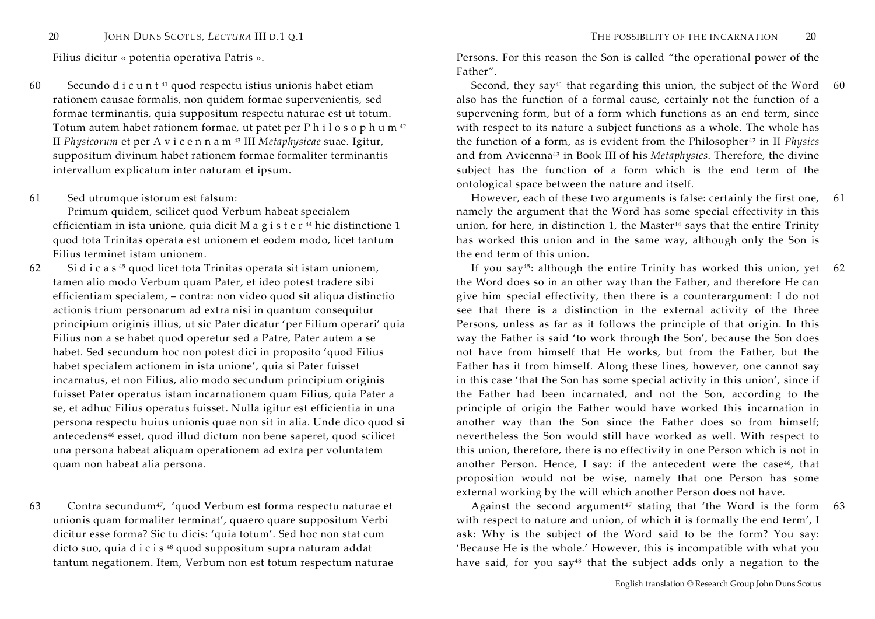60 Secundo d i c u n  $t<sup>41</sup>$  quod respectu istius unionis habet etiam rationem causae formalis, non quidem formae supervenientis, sed formae terminantis, quia suppositum respectu naturae est ut totum. Totum autem habet rationem formae, ut patet per P <sup>h</sup> <sup>i</sup> <sup>l</sup> <sup>o</sup> <sup>s</sup> <sup>o</sup> <sup>p</sup> <sup>h</sup> <sup>u</sup> <sup>m</sup> <sup>42</sup> II *Physicorum* et per A <sup>v</sup> <sup>i</sup> <sup>c</sup> <sup>e</sup> <sup>n</sup> <sup>n</sup> <sup>a</sup> <sup>m</sup> <sup>43</sup> III *Metaphysicae* suae. Igitur, suppositum divinum habet rationem formae formaliter terminantis intervallum explicatum inter naturam et ipsum.

61 Sed utrumque istorum est falsum:

Primum quidem, scilicet quod Verbum habeat specialem efficientiam in ista unione, quia dicit M a g i s t e r <sup>44</sup> hic distinctione 1 quod tota Trinitas operata est unionem et eodem modo, licet tantum Filius terminet istam unionem.

62 Si d <sup>i</sup> <sup>c</sup> <sup>a</sup> <sup>s</sup> <sup>45</sup> quod licet tota Trinitas operata sit istam unionem, tamen alio modo Verbum quam Pater, et ideo potest tradere sibi efficientiam specialem, – contra: non video quod sit aliqua distinctio actionis trium personarum ad extra nisi in quantum consequitur principium originis illius, ut sic Pater dicatur 'per Filium operari' quia Filius non a se habet quod operetur sed a Patre, Pater autem a se habet. Sed secundum hoc non potest dici in proposito 'quod Filius habet specialem actionem in ista unione', quia si Pater fuisset incarnatus, et non Filius, alio modo secundum principium originis fuisset Pater operatus istam incarnationem quam Filius, quia Pater a se, et adhuc Filius operatus fuisset. Nulla igitur est efficientia in una persona respectu huius unionis quae non sit in alia. Unde dico quod si antecedens46 esset, quod illud dictum non bene saperet, quod scilicet una persona habeat aliquam operationem ad extra per voluntatem quam non habeat alia persona.

63 Contra secundum<sup>47</sup>, 'quod Verbum est forma respectu naturae et unionis quam formaliter terminat', quaero quare suppositum Verbi dicitur esse forma? Sic tu dicis: 'quia totum'. Sed hoc non stat cum dicto suo, quia d i c i s <sup>48</sup> quod suppositum supra naturam addat tantum negationem. Item, Verbum non est totum respectum naturae

Filius dicitur « potentia operativa Patris ». Persons. For this reason the Son is called "the operational power of the Father".

> Second, they say<sup>41</sup> that regarding this union, the subject of the Word  $60$  also has the function of a formal cause, certainly not the function of a supervening form, but of a form which functions as an end term, since with respect to its nature a subject functions as a whole. The whole has the function of a form, as is evident from the Philosopher42 in II *Physics* and from Avicenna43 in Book III of his *Metaphysics*. Therefore, the divine subject has the function of a form which is the end term of the ontological space between the nature and itself.

 However, each of these two arguments is false: certainly the first one, namely the argument that the Word has some special effectivity in this union, for here, in distinction 1, the Master<sup>44</sup> says that the entire Trinity has worked this union and in the same way, although only the Son is the end term of this union. 61

 If you say45: although the entire Trinity has worked this union, yet 62the Word does so in an other way than the Father, and therefore He can give him special effectivity, then there is a counterargument: I do not see that there is a distinction in the external activity of the three Persons, unless as far as it follows the principle of that origin. In this way the Father is said 'to work through the Son', because the Son does not have from himself that He works, but from the Father, but the Father has it from himself. Along these lines, however, one cannot say in this case 'that the Son has some special activity in this union', since if the Father had been incarnated, and not the Son, according to the principle of origin the Father would have worked this incarnation in another way than the Son since the Father does so from himself; nevertheless the Son would still have worked as well. With respect to this union, therefore, there is no effectivity in one Person which is not in another Person. Hence, I say: if the antecedent were the case<sup>46</sup>, that proposition would not be wise, namely that one Person has some external working by the will which another Person does not have.

Against the second argument<sup>47</sup> stating that 'the Word is the form 63 with respect to nature and union, of which it is formally the end term', I ask: Why is the subject of the Word said to be the form? You say: 'Because He is the whole.' However, this is incompatible with what you have said, for you say<sup>48</sup> that the subject adds only a negation to the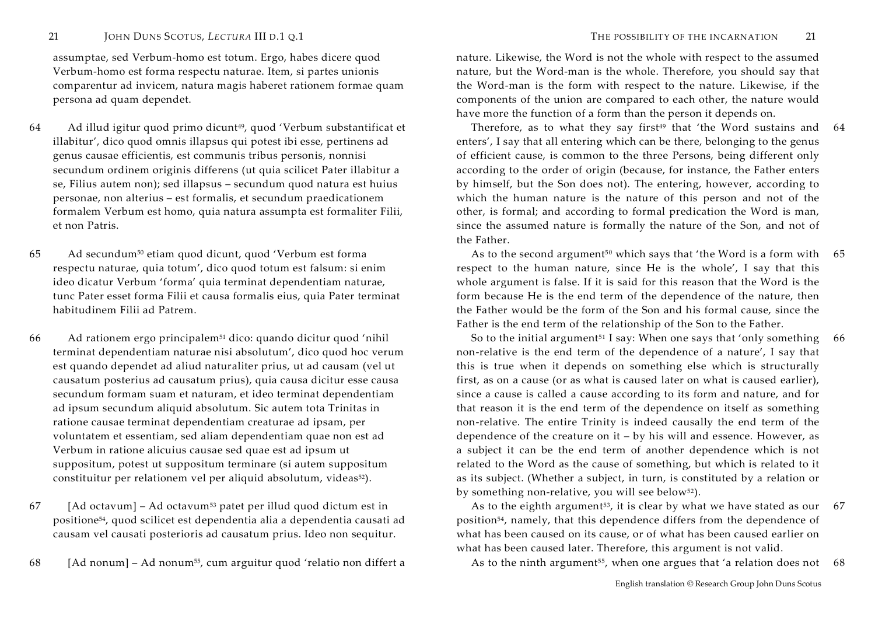assumptae, sed Verbum-homo est totum. Ergo, habes dicere quod Verbum-homo est forma respectu naturae. Item, si partes unionis comparentur ad invicem, natura magis haberet rationem formae quam persona ad quam dependet.

- 64 Ad illud igitur quod primo dicunt<sup>49</sup>, quod 'Verbum substantificat et illabitur', dico quod omnis illapsus qui potest ibi esse, pertinens ad genus causae efficientis, est communis tribus personis, nonnisi secundum ordinem originis differens (ut quia scilicet Pater illabitur a se, Filius autem non); sed illapsus – secundum quod natura est huius personae, non alterius – est formalis, et secundum praedicationem formalem Verbum est homo, quia natura assumpta est formaliter Filii, et non Patris.
- 65 Ad secundum50 etiam quod dicunt, quod 'Verbum est forma respectu naturae, quia totum', dico quod totum est falsum: si enim ideo dicatur Verbum 'forma' quia terminat dependentiam naturae, tunc Pater esset forma Filii et causa formalis eius, quia Pater terminat habitudinem Filii ad Patrem.
- 66 Ad rationem ergo principalem51 dico: quando dicitur quod 'nihil terminat dependentiam naturae nisi absolutum', dico quod hoc verum est quando dependet ad aliud naturaliter prius, ut ad causam (vel ut causatum posterius ad causatum prius), quia causa dicitur esse causa secundum formam suam et naturam, et ideo terminat dependentiam ad ipsum secundum aliquid absolutum. Sic autem tota Trinitas in ratione causae terminat dependentiam creaturae ad ipsam, per voluntatem et essentiam, sed aliam dependentiam quae non est ad Verbum in ratione alicuius causae sed quae est ad ipsum ut suppositum, potest ut suppositum terminare (si autem suppositum constituitur per relationem vel per aliquid absolutum, videas52).

 $67$  [Ad octavum] – Ad octavum<sup>53</sup> patet per illud quod dictum est in positione<sup>54</sup>, quod scilicet est dependentia alia a dependentia causati ad causam vel causati posterioris ad causatum prius. Ideo non sequitur.

68 [Ad nonum] – Ad nonum<sup>55</sup>, cum arguitur quod 'relatio non differt a As to the ninth argument<sup>55</sup>, when one argues that 'a relation does not 68

nature. Likewise, the Word is not the whole with respect to the assumed nature, but the Word-man is the whole. Therefore, you should say that the Word-man is the form with respect to the nature. Likewise, if the components of the union are compared to each other, the nature would have more the function of a form than the person it depends on.

Therefore, as to what they say first $49$  that 'the Word sustains and  $64$ enters', I say that all entering which can be there, belonging to the genus of efficient cause, is common to the three Persons, being different only according to the order of origin (because, for instance, the Father enters by himself, but the Son does not). The entering, however, according to which the human nature is the nature of this person and not of the other, is formal; and according to formal predication the Word is man, since the assumed nature is formally the nature of the Son, and not of the Father.

As to the second argument<sup>50</sup> which says that 'the Word is a form with  $65$ respect to the human nature, since He is the whole', I say that this whole argument is false. If it is said for this reason that the Word is the form because He is the end term of the dependence of the nature, then the Father would be the form of the Son and his formal cause, since the Father is the end term of the relationship of the Son to the Father.

So to the initial argument<sup>51</sup> I say: When one says that 'only something non-relative is the end term of the dependence of a nature', I say that this is true when it depends on something else which is structurally first, as on a cause (or as what is caused later on what is caused earlier), since a cause is called a cause according to its form and nature, and for that reason it is the end term of the dependence on itself as something non-relative. The entire Trinity is indeed causally the end term of the dependence of the creature on it – by his will and essence. However, as a subject it can be the end term of another dependence which is not related to the Word as the cause of something, but which is related to it as its subject. (Whether a subject, in turn, is constituted by a relation or by something non-relative, you will see below<sup>52</sup>). 66

As to the eighth argument<sup>53</sup>, it is clear by what we have stated as our  $67$ position<sup>54</sup>, namely, that this dependence differs from the dependence of what has been caused on its cause, or of what has been caused earlier on what has been caused later. Therefore, this argument is not valid.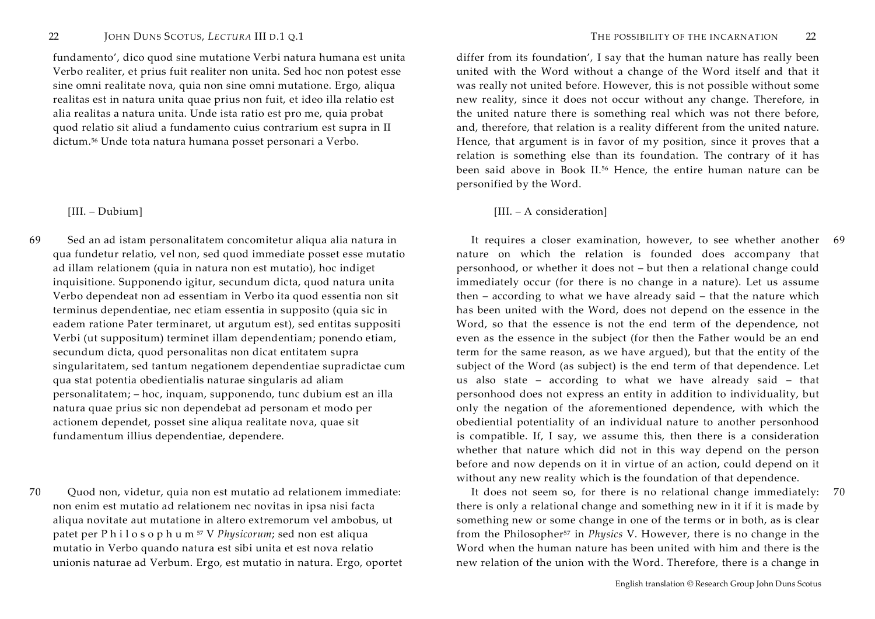fundamento', dico quod sine mutatione Verbi natura humana est unita Verbo realiter, et prius fuit realiter non unita. Sed hoc non potest esse sine omni realitate nova, quia non sine omni mutatione. Ergo, aliqua realitas est in natura unita quae prius non fuit, et ideo illa relatio est alia realitas a natura unita. Unde ista ratio est pro me, quia probat quod relatio sit aliud a fundamento cuius contrarium est supra in II dictum.56 Unde tota natura humana posset personari a Verbo.

69 Sed an ad istam personalitatem concomitetur aliqua alia natura in qua fundetur relatio, vel non, sed quod immediate posset esse mutatio ad illam relationem (quia in natura non est mutatio), hoc indiget inquisitione. Supponendo igitur, secundum dicta, quod natura unita Verbo dependeat non ad essentiam in Verbo ita quod essentia non sit terminus dependentiae, nec etiam essentia in supposito (quia sic in eadem ratione Pater terminaret, ut argutum est), sed entitas suppositi Verbi (ut suppositum) terminet illam dependentiam; ponendo etiam, secundum dicta, quod personalitas non dicat entitatem supra singularitatem, sed tantum negationem dependentiae supradictae cum qua stat potentia obedientialis naturae singularis ad aliam personalitatem; – hoc, inquam, supponendo, tunc dubium est an illa natura quae prius sic non dependebat ad personam et modo per actionem dependet, posset sine aliqua realitate nova, quae sit fundamentum illius dependentiae, dependere.

70 Quod non, videtur, quia non est mutatio ad relationem immediate: non enim est mutatio ad relationem nec novitas in ipsa nisi facta aliqua novitate aut mutatione in altero extremorum vel ambobus, ut patet per P <sup>h</sup> <sup>i</sup> <sup>l</sup> <sup>o</sup> <sup>s</sup> <sup>o</sup> <sup>p</sup> <sup>h</sup> <sup>u</sup> <sup>m</sup> <sup>57</sup> V *Physicorum*; sed non est aliqua mutatio in Verbo quando natura est sibi unita et est nova relatio unionis naturae ad Verbum. Ergo, est mutatio in natura. Ergo, oportet

differ from its foundation', I say that the human nature has really been united with the Word without a change of the Word itself and that it was really not united before. However, this is not possible without some new reality, since it does not occur without any change. Therefore, in the united nature there is something real which was not there before, and, therefore, that relation is a reality different from the united nature. Hence, that argument is in favor of my position, since it proves that a relation is something else than its foundation. The contrary of it has been said above in Book II.56 Hence, the entire human nature can be personified by the Word.

# [III. – Dubium] [III. – A consideration]

 It requires a closer examination, however, to see whether another nature on which the relation is founded does accompany that personhood, or whether it does not – but then a relational change could immediately occur (for there is no change in a nature). Let us assume then – according to what we have already said – that the nature which has been united with the Word, does not depend on the essence in the Word, so that the essence is not the end term of the dependence, not even as the essence in the subject (for then the Father would be an end term for the same reason, as we have argued), but that the entity of the subject of the Word (as subject) is the end term of that dependence. Let us also state – according to what we have already said – that personhood does not express an entity in addition to individuality, but only the negation of the aforementioned dependence, with which the obediential potentiality of an individual nature to another personhood is compatible. If, I say, we assume this, then there is a consideration whether that nature which did not in this way depend on the person before and now depends on it in virtue of an action, could depend on it without any new reality which is the foundation of that dependence. 69

 It does not seem so, for there is no relational change immediately: 70there is only a relational change and something new in it if it is made by something new or some change in one of the terms or in both, as is clear from the Philosopher57 in *Physics* V. However, there is no change in the Word when the human nature has been united with him and there is the new relation of the union with the Word. Therefore, there is a change in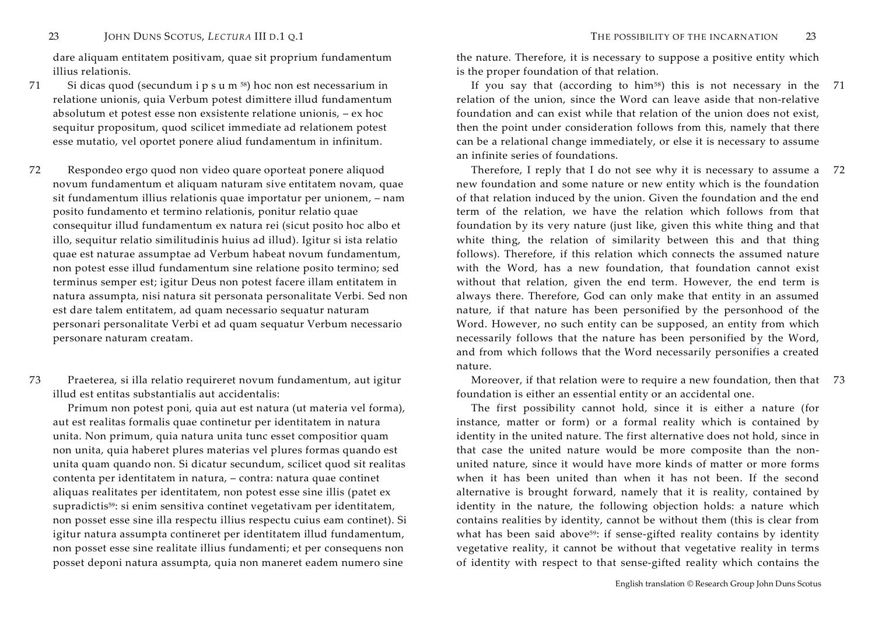dare aliquam entitatem positivam, quae sit proprium fundamentum illius relationis.

71 Si dicas quod (secundum i <sup>p</sup> <sup>s</sup> <sup>u</sup> <sup>m</sup> <sup>58</sup>) hoc non est necessarium in relatione unionis, quia Verbum potest dimittere illud fundamentum absolutum et potest esse non exsistente relatione unionis, – ex hoc sequitur propositum, quod scilicet immediate ad relationem potest esse mutatio, vel oportet ponere aliud fundamentum in infinitum.

72 Respondeo ergo quod non video quare oporteat ponere aliquod novum fundamentum et aliquam naturam sive entitatem novam, quae sit fundamentum illius relationis quae importatur per unionem, – nam posito fundamento et termino relationis, ponitur relatio quae consequitur illud fundamentum ex natura rei (sicut posito hoc albo et illo, sequitur relatio similitudinis huius ad illud). Igitur si ista relatio quae est naturae assumptae ad Verbum habeat novum fundamentum, non potest esse illud fundamentum sine relatione posito termino; sed terminus semper est; igitur Deus non potest facere illam entitatem in natura assumpta, nisi natura sit personata personalitate Verbi. Sed non est dare talem entitatem, ad quam necessario sequatur naturam personari personalitate Verbi et ad quam sequatur Verbum necessario personare naturam creatam.

73 Praeterea, si illa relatio requireret novum fundamentum, aut igitur illud est entitas substantialis aut accidentalis:

Primum non potest poni, quia aut est natura (ut materia vel forma), aut est realitas formalis quae continetur per identitatem in natura unita. Non primum, quia natura unita tunc esset compositior quam non unita, quia haberet plures materias vel plures formas quando est unita quam quando non. Si dicatur secundum, scilicet quod sit realitas contenta per identitatem in natura, – contra: natura quae continet aliquas realitates per identitatem, non potest esse sine illis (patet ex supradictis59: si enim sensitiva continet vegetativam per identitatem, non posset esse sine illa respectu illius respectu cuius eam continet). Si igitur natura assumpta contineret per identitatem illud fundamentum, non posset esse sine realitate illius fundamenti; et per consequens non posset deponi natura assumpta, quia non maneret eadem numero sine

the nature. Therefore, it is necessary to suppose a positive entity which is the proper foundation of that relation.

If you say that (according to him<sup>58</sup>) this is not necessary in the 71 relation of the union, since the Word can leave aside that non-relative foundation and can exist while that relation of the union does not exist, then the point under consideration follows from this, namely that there can be a relational change immediately, or else it is necessary to assume an infinite series of foundations.

 Therefore, I reply that I do not see why it is necessary to assume a 72new foundation and some nature or new entity which is the foundation of that relation induced by the union. Given the foundation and the end term of the relation, we have the relation which follows from that foundation by its very nature (just like, given this white thing and that white thing, the relation of similarity between this and that thing follows). Therefore, if this relation which connects the assumed nature with the Word, has a new foundation, that foundation cannot exist without that relation, given the end term. However, the end term is always there. Therefore, God can only make that entity in an assumed nature, if that nature has been personified by the personhood of the Word. However, no such entity can be supposed, an entity from which necessarily follows that the nature has been personified by the Word, and from which follows that the Word necessarily personifies a created nature.

 Moreover, if that relation were to require a new foundation, then that 73foundation is either an essential entity or an accidental one.

The first possibility cannot hold, since it is either a nature (for instance, matter or form) or a formal reality which is contained by identity in the united nature. The first alternative does not hold, since in that case the united nature would be more composite than the nonunited nature, since it would have more kinds of matter or more forms when it has been united than when it has not been. If the second alternative is brought forward, namely that it is reality, contained by identity in the nature, the following objection holds: a nature which contains realities by identity, cannot be without them (this is clear from what has been said above<sup>59</sup>: if sense-gifted reality contains by identity vegetative reality, it cannot be without that vegetative reality in terms of identity with respect to that sense-gifted reality which contains the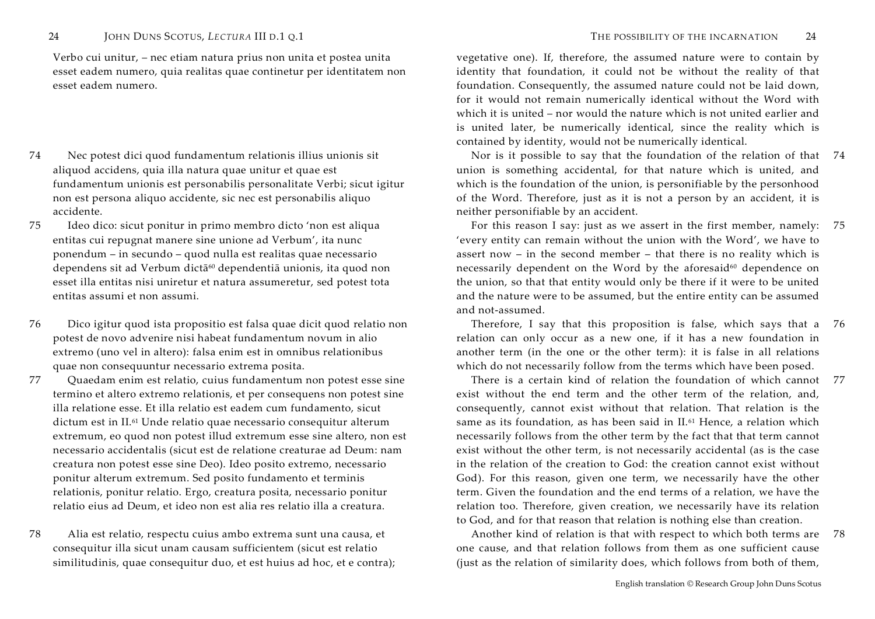Verbo cui unitur, – nec etiam natura prius non unita et postea unita esset eadem numero, quia realitas quae continetur per identitatem non esset eadem numero.

- 74 Nec potest dici quod fundamentum relationis illius unionis sit aliquod accidens, quia illa natura quae unitur et quae est fundamentum unionis est personabilis personalitate Verbi; sicut igitur non est persona aliquo accidente, sic nec est personabilis aliquo accidente.
- 75 Ideo dico: sicut ponitur in primo membro dicto 'non est aliqua entitas cui repugnat manere sine unione ad Verbum', ita nunc ponendum – in secundo – quod nulla est realitas quae necessario dependens sit ad Verbum dictā<sup>60</sup> dependentiā unionis, ita quod non esset illa entitas nisi uniretur et natura assumeretur, sed potest tota entitas assumi et non assumi.
- 76 Dico igitur quod ista propositio est falsa quae dicit quod relatio non potest de novo advenire nisi habeat fundamentum novum in alio extremo (uno vel in altero): falsa enim est in omnibus relationibus quae non consequuntur necessario extrema posita.
- 77 Quaedam enim est relatio, cuius fundamentum non potest esse sine termino et altero extremo relationis, et per consequens non potest sine illa relatione esse. Et illa relatio est eadem cum fundamento, sicut dictum est in II.61 Unde relatio quae necessario consequitur alterum extremum, eo quod non potest illud extremum esse sine altero, non est necessario accidentalis (sicut est de relatione creaturae ad Deum: nam creatura non potest esse sine Deo). Ideo posito extremo, necessario ponitur alterum extremum. Sed posito fundamento et terminis relationis, ponitur relatio. Ergo, creatura posita, necessario ponitur relatio eius ad Deum, et ideo non est alia res relatio illa a creatura.
- 78 Alia est relatio, respectu cuius ambo extrema sunt una causa, et consequitur illa sicut unam causam sufficientem (sicut est relatio similitudinis, quae consequitur duo, et est huius ad hoc, et e contra);

vegetative one). If, therefore, the assumed nature were to contain by identity that foundation, it could not be without the reality of that foundation. Consequently, the assumed nature could not be laid down, for it would not remain numerically identical without the Word with which it is united – nor would the nature which is not united earlier and is united later, be numerically identical, since the reality which is contained by identity, would not be numerically identical.

 Nor is it possible to say that the foundation of the relation of that 74union is something accidental, for that nature which is united, and which is the foundation of the union, is personifiable by the personhood of the Word. Therefore, just as it is not a person by an accident, it is neither personifiable by an accident.

 For this reason I say: just as we assert in the first member, namely: 'every entity can remain without the union with the Word', we have to assert now – in the second member – that there is no reality which is necessarily dependent on the Word by the aforesaid $60$  dependence on the union, so that that entity would only be there if it were to be united and the nature were to be assumed, but the entire entity can be assumed and not-assumed. 75

 Therefore, I say that this proposition is false, which says that a relation can only occur as a new one, if it has a new foundation in another term (in the one or the other term): it is false in all relations which do not necessarily follow from the terms which have been posed. 76

 There is a certain kind of relation the foundation of which cannot 77exist without the end term and the other term of the relation, and, consequently, cannot exist without that relation. That relation is the same as its foundation, as has been said in II.61 Hence, a relation which necessarily follows from the other term by the fact that that term cannot exist without the other term, is not necessarily accidental (as is the case in the relation of the creation to God: the creation cannot exist without God). For this reason, given one term, we necessarily have the other term. Given the foundation and the end terms of a relation, we have the relation too. Therefore, given creation, we necessarily have its relation to God, and for that reason that relation is nothing else than creation.

 Another kind of relation is that with respect to which both terms are 78one cause, and that relation follows from them as one sufficient cause (just as the relation of similarity does, which follows from both of them,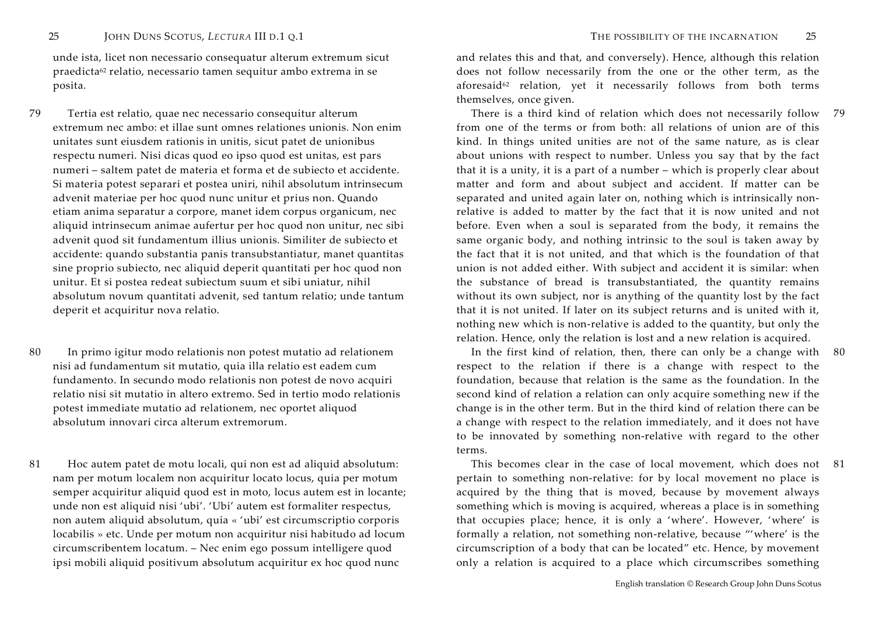unde ista, licet non necessario consequatur alterum extremum sicut praedicta62 relatio, necessario tamen sequitur ambo extrema in se posita.

- 79 Tertia est relatio, quae nec necessario consequitur alterum extremum nec ambo: et illae sunt omnes relationes unionis. Non enim unitates sunt eiusdem rationis in unitis, sicut patet de unionibus respectu numeri. Nisi dicas quod eo ipso quod est unitas, est pars numeri – saltem patet de materia et forma et de subiecto et accidente. Si materia potest separari et postea uniri, nihil absolutum intrinsecum advenit materiae per hoc quod nunc unitur et prius non. Quando etiam anima separatur a corpore, manet idem corpus organicum, nec aliquid intrinsecum animae aufertur per hoc quod non unitur, nec sibi advenit quod sit fundamentum illius unionis. Similiter de subiecto et accidente: quando substantia panis transubstantiatur, manet quantitas sine proprio subiecto, nec aliquid deperit quantitati per hoc quod non unitur. Et si postea redeat subiectum suum et sibi uniatur, nihil absolutum novum quantitati advenit, sed tantum relatio; unde tantum deperit et acquiritur nova relatio.
- 80 In primo igitur modo relationis non potest mutatio ad relationem nisi ad fundamentum sit mutatio, quia illa relatio est eadem cum fundamento. In secundo modo relationis non potest de novo acquiri relatio nisi sit mutatio in altero extremo. Sed in tertio modo relationis potest immediate mutatio ad relationem, nec oportet aliquod absolutum innovari circa alterum extremorum.
- 81 Hoc autem patet de motu locali, qui non est ad aliquid absolutum: nam per motum localem non acquiritur locato locus, quia per motum semper acquiritur aliquid quod est in moto, locus autem est in locante; unde non est aliquid nisi 'ubi'. 'Ubi' autem est formaliter respectus, non autem aliquid absolutum, quia « 'ubi' est circumscriptio corporis locabilis » etc. Unde per motum non acquiritur nisi habitudo ad locum circumscribentem locatum. – Nec enim ego possum intelligere quod ipsi mobili aliquid positivum absolutum acquiritur ex hoc quod nunc

and relates this and that, and conversely). Hence, although this relation does not follow necessarily from the one or the other term, as the aforesaid<sup>62</sup> relation, yet it necessarily follows from both terms themselves, once given.

 There is a third kind of relation which does not necessarily follow 79from one of the terms or from both: all relations of union are of this kind. In things united unities are not of the same nature, as is clear about unions with respect to number. Unless you say that by the fact that it is a unity, it is a part of a number – which is properly clear about matter and form and about subject and accident. If matter can be separated and united again later on, nothing which is intrinsically nonrelative is added to matter by the fact that it is now united and not before. Even when a soul is separated from the body, it remains the same organic body, and nothing intrinsic to the soul is taken away by the fact that it is not united, and that which is the foundation of that union is not added either. With subject and accident it is similar: when the substance of bread is transubstantiated, the quantity remains without its own subject, nor is anything of the quantity lost by the fact that it is not united. If later on its subject returns and is united with it, nothing new which is non-relative is added to the quantity, but only the relation. Hence, only the relation is lost and a new relation is acquired.

 In the first kind of relation, then, there can only be a change with respect to the relation if there is a change with respect to the foundation, because that relation is the same as the foundation. In the second kind of relation a relation can only acquire something new if the change is in the other term. But in the third kind of relation there can be a change with respect to the relation immediately, and it does not have to be innovated by something non-relative with regard to the other terms.

 This becomes clear in the case of local movement, which does not 81pertain to something non-relative: for by local movement no place is acquired by the thing that is moved, because by movement always something which is moving is acquired, whereas a place is in something that occupies place; hence, it is only a 'where'. However, 'where' is formally a relation, not something non-relative, because "'where' is the circumscription of a body that can be located" etc. Hence, by movement only a relation is acquired to a place which circumscribes something

80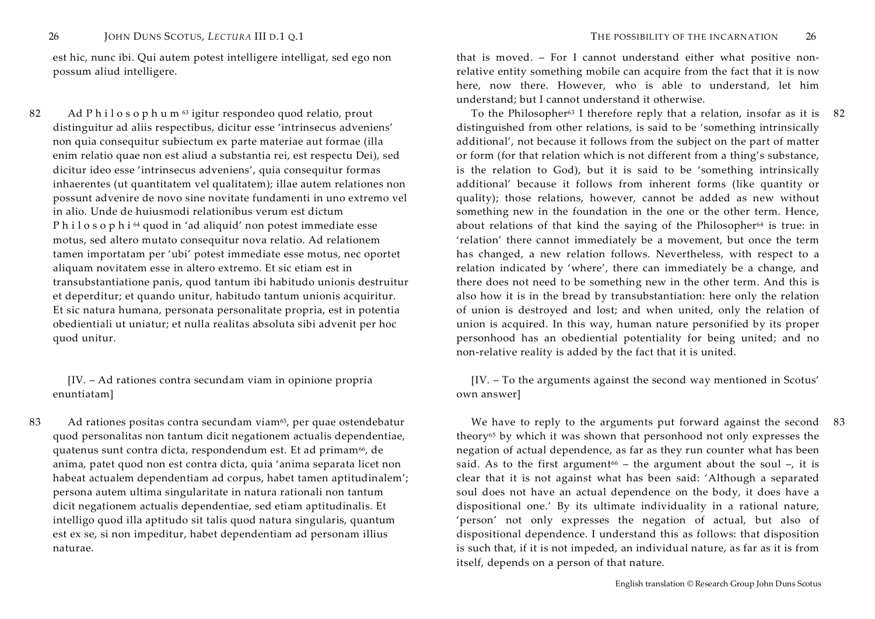est hic, nunc ibi. Qui autem potest intelligere intelligat, sed ego non possum aliud intelligere.

82 Ad P <sup>h</sup> <sup>i</sup> <sup>l</sup> <sup>o</sup> <sup>s</sup> <sup>o</sup> <sup>p</sup> <sup>h</sup> <sup>u</sup> <sup>m</sup> <sup>63</sup> igitur respondeo quod relatio, prout distinguitur ad aliis respectibus, dicitur esse 'intrinsecus adveniens' non quia consequitur subiectum ex parte materiae aut formae (illa enim relatio quae non est aliud a substantia rei, est respectu Dei), sed dicitur ideo esse 'intrinsecus adveniens', quia consequitur formas inhaerentes (ut quantitatem vel qualitatem); illae autem relationes non possunt advenire de novo sine novitate fundamenti in uno extremo vel in alio. Unde de huiusmodi relationibus verum est dictum <sup>P</sup> <sup>h</sup> <sup>i</sup> <sup>l</sup> <sup>o</sup> <sup>s</sup> <sup>o</sup> <sup>p</sup> <sup>h</sup> <sup>i</sup> <sup>64</sup> quod in 'ad aliquid' non potest immediate esse motus, sed altero mutato consequitur nova relatio. Ad relationem tamen importatam per 'ubi' potest immediate esse motus, nec oportet aliquam novitatem esse in altero extremo. Et sic etiam est in transubstantiatione panis, quod tantum ibi habitudo unionis destruitur et deperditur; et quando unitur, habitudo tantum unionis acquiritur. Et sic natura humana, personata personalitate propria, est in potentia obedientiali ut uniatur; et nulla realitas absoluta sibi advenit per hoc quod unitur.

 [IV. – Ad rationes contra secundam viam in opinione propria enuntiatam]

83 Ad rationes positas contra secundam viam<sup>65</sup>, per quae ostendebatur quod personalitas non tantum dicit negationem actualis dependentiae, quatenus sunt contra dicta, respondendum est. Et ad primam<sup>66</sup>, de anima, patet quod non est contra dicta, quia 'anima separata licet non habeat actualem dependentiam ad corpus, habet tamen aptitudinalem'; persona autem ultima singularitate in natura rationali non tantum dicit negationem actualis dependentiae, sed etiam aptitudinalis. Et intelligo quod illa aptitudo sit talis quod natura singularis, quantum est ex se, si non impeditur, habet dependentiam ad personam illius naturae.

that is moved. – For I cannot understand either what positive nonrelative entity something mobile can acquire from the fact that it is now here, now there. However, who is able to understand, let him understand; but I cannot understand it otherwise.

To the Philosopher<sup>63</sup> I therefore reply that a relation, insofar as it is the 82 distinguished from other relations, is said to be 'something intrinsically additional', not because it follows from the subject on the part of matter or form (for that relation which is not different from a thing's substance, is the relation to God), but it is said to be 'something intrinsically additional' because it follows from inherent forms (like quantity or quality); those relations, however, cannot be added as new without something new in the foundation in the one or the other term. Hence, about relations of that kind the saying of the Philosopher<sup>64</sup> is true: in 'relation' there cannot immediately be a movement, but once the term has changed, a new relation follows. Nevertheless, with respect to a relation indicated by 'where', there can immediately be a change, and there does not need to be something new in the other term. And this is also how it is in the bread by transubstantiation: here only the relation of union is destroyed and lost; and when united, only the relation of union is acquired. In this way, human nature personified by its proper personhood has an obediential potentiality for being united; and no non-relative reality is added by the fact that it is united.

 [IV. – To the arguments against the second way mentioned in Scotus' own answer]

 We have to reply to the arguments put forward against the second 83theory65 by which it was shown that personhood not only expresses the negation of actual dependence, as far as they run counter what has been said. As to the first argument<sup>66</sup> – the argument about the soul –, it is clear that it is not against what has been said: 'Although a separated soul does not have an actual dependence on the body, it does have a dispositional one.' By its ultimate individuality in a rational nature, 'person' not only expresses the negation of actual, but also of dispositional dependence. I understand this as follows: that disposition is such that, if it is not impeded, an individual nature, as far as it is from itself, depends on a person of that nature.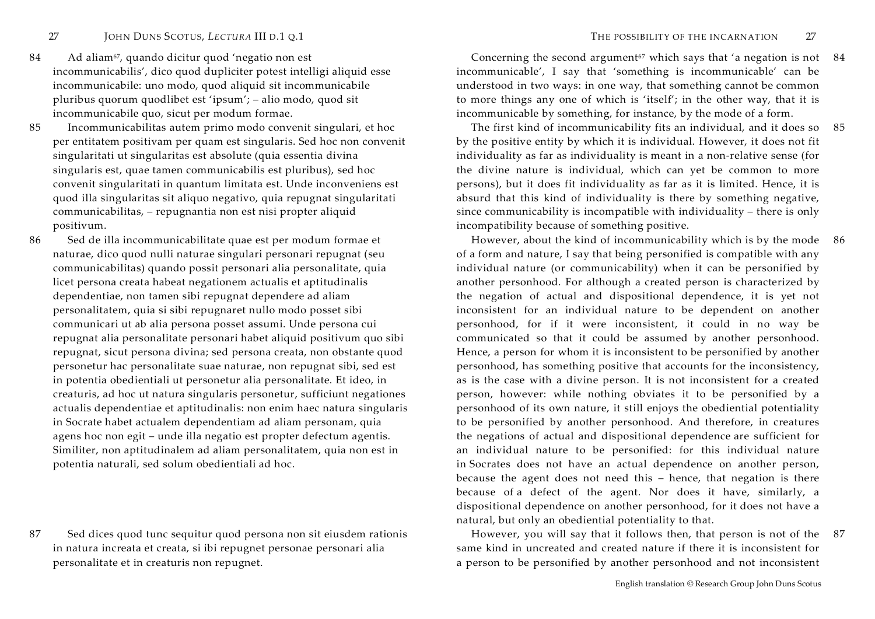- 84 Ad aliam<sup>67</sup>, quando dicitur quod 'negatio non est incommunicabilis', dico quod dupliciter potest intelligi aliquid esse incommunicabile: uno modo, quod aliquid sit incommunicabile pluribus quorum quodlibet est 'ipsum'; – alio modo, quod sit incommunicabile quo, sicut per modum formae.
- 85 Incommunicabilitas autem primo modo convenit singulari, et hoc per entitatem positivam per quam est singularis. Sed hoc non convenit singularitati ut singularitas est absolute (quia essentia divina singularis est, quae tamen communicabilis est pluribus), sed hoc convenit singularitati in quantum limitata est. Unde inconveniens est quod illa singularitas sit aliquo negativo, quia repugnat singularitati communicabilitas, – repugnantia non est nisi propter aliquid positivum.
- 86 Sed de illa incommunicabilitate quae est per modum formae et naturae, dico quod nulli naturae singulari personari repugnat (seu communicabilitas) quando possit personari alia personalitate, quia licet persona creata habeat negationem actualis et aptitudinalis dependentiae, non tamen sibi repugnat dependere ad aliam personalitatem, quia si sibi repugnaret nullo modo posset sibi communicari ut ab alia persona posset assumi. Unde persona cui repugnat alia personalitate personari habet aliquid positivum quo sibi repugnat, sicut persona divina; sed persona creata, non obstante quod personetur hac personalitate suae naturae, non repugnat sibi, sed est in potentia obedientiali ut personetur alia personalitate. Et ideo, in creaturis, ad hoc ut natura singularis personetur, sufficiunt negationes actualis dependentiae et aptitudinalis: non enim haec natura singularis in Socrate habet actualem dependentiam ad aliam personam, quia agens hoc non egit – unde illa negatio est propter defectum agentis. Similiter, non aptitudinalem ad aliam personalitatem, quia non est in potentia naturali, sed solum obedientiali ad hoc.
- 87 Sed dices quod tunc sequitur quod persona non sit eiusdem rationis in natura increata et creata, si ibi repugnet personae personari alia personalitate et in creaturis non repugnet.

Concerning the second argument<sup>67</sup> which says that 'a negation is not  $84$ incommunicable', I say that 'something is incommunicable' can be understood in two ways: in one way, that something cannot be common to more things any one of which is 'itself'; in the other way, that it is incommunicable by something, for instance, by the mode of a form.

 The first kind of incommunicability fits an individual, and it does so 85by the positive entity by which it is individual. However, it does not fit individuality as far as individuality is meant in a non-relative sense (for the divine nature is individual, which can yet be common to more persons), but it does fit individuality as far as it is limited. Hence, it is absurd that this kind of individuality is there by something negative, since communicability is incompatible with individuality – there is only incompatibility because of something positive.

 However, about the kind of incommunicability which is by the mode 86of a form and nature, I say that being personified is compatible with any individual nature (or communicability) when it can be personified by another personhood. For although a created person is characterized by the negation of actual and dispositional dependence, it is yet not inconsistent for an individual nature to be dependent on another personhood, for if it were inconsistent, it could in no way be communicated so that it could be assumed by another personhood. Hence, a person for whom it is inconsistent to be personified by another personhood, has something positive that accounts for the inconsistency, as is the case with a divine person. It is not inconsistent for a created person, however: while nothing obviates it to be personified by a personhood of its own nature, it still enjoys the obediential potentiality to be personified by another personhood. And therefore, in creatures the negations of actual and dispositional dependence are sufficient for an individual nature to be personified: for this individual nature in Socrates does not have an actual dependence on another person, because the agent does not need this – hence, that negation is there because of a defect of the agent. Nor does it have, similarly, a dispositional dependence on another personhood, for it does not have a natural, but only an obediential potentiality to that.

 However, you will say that it follows then, that person is not of the 87same kind in uncreated and created nature if there it is inconsistent for a person to be personified by another personhood and not inconsistent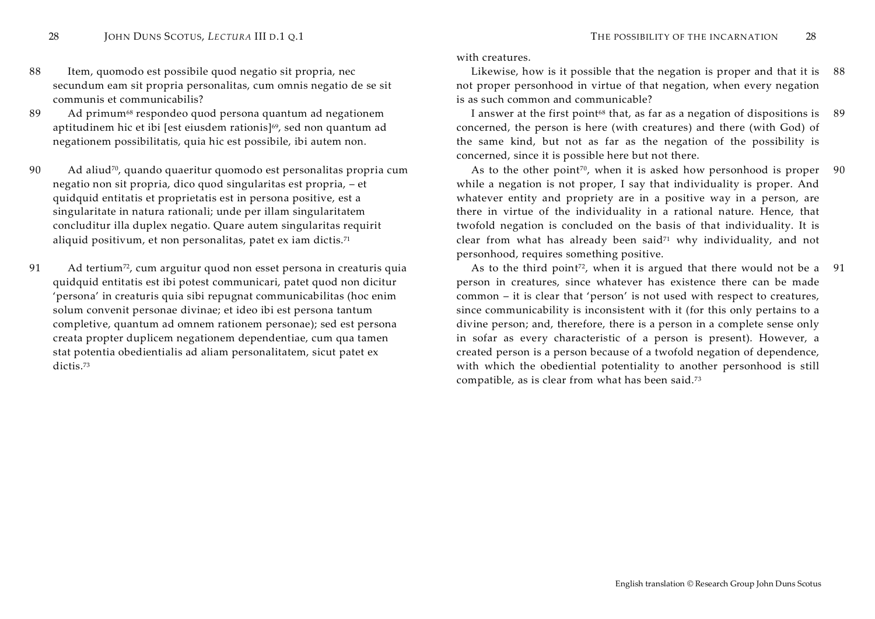- 88 Item, quomodo est possibile quod negatio sit propria, nec secundum eam sit propria personalitas, cum omnis negatio de se sit communis et communicabilis?
- 89 Ad primum<sup>68</sup> respondeo quod persona quantum ad negationem aptitudinem hic et ibi [est eiusdem rationis]<sup>69</sup>, sed non quantum ad negationem possibilitatis, quia hic est possibile, ibi autem non.
- 90 Ad aliud<sup>70</sup>, quando quaeritur quomodo est personalitas propria cum negatio non sit propria, dico quod singularitas est propria, – et quidquid entitatis et proprietatis est in persona positive, est a singularitate in natura rationali; unde per illam singularitatem concluditur illa duplex negatio. Quare autem singularitas requirit aliquid positivum, et non personalitas, patet ex iam dictis.<sup>71</sup>
- 91 Ad tertium<sup>72</sup>, cum arguitur quod non esset persona in creaturis quia quidquid entitatis est ibi potest communicari, patet quod non dicitur 'persona' in creaturis quia sibi repugnat communicabilitas (hoc enim solum convenit personae divinae; et ideo ibi est persona tantum completive, quantum ad omnem rationem personae); sed est persona creata propter duplicem negationem dependentiae, cum qua tamen stat potentia obedientialis ad aliam personalitatem, sicut patet ex dictis.73

with creatures.

 Likewise, how is it possible that the negation is proper and that it is not proper personhood in virtue of that negation, when every negation is as such common and communicable? 88

 I answer at the first point68 that, as far as a negation of dispositions is concerned, the person is here (with creatures) and there (with God) of the same kind, but not as far as the negation of the possibility is concerned, since it is possible here but not there. 89

As to the other point<sup>70</sup>, when it is asked how personhood is proper while a negation is not proper, I say that individuality is proper. And whatever entity and propriety are in a positive way in a person, are there in virtue of the individuality in a rational nature. Hence, that twofold negation is concluded on the basis of that individuality. It is clear from what has already been said<sup>71</sup> why individuality, and not personhood, requires something positive. 90

As to the third point<sup>72</sup>, when it is argued that there would not be a person in creatures, since whatever has existence there can be made common – it is clear that 'person' is not used with respect to creatures, since communicability is inconsistent with it (for this only pertains to a divine person; and, therefore, there is a person in a complete sense only in sofar as every characteristic of a person is present). However, a created person is a person because of a twofold negation of dependence, with which the obediential potentiality to another personhood is still compatible, as is clear from what has been said.<sup>73</sup> 91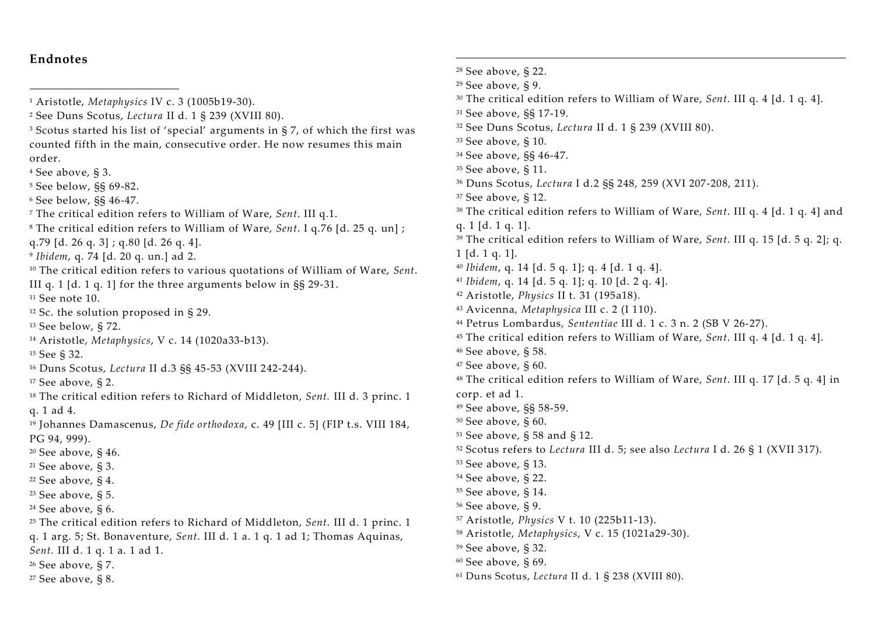# **Endnotes**

- Scotus started his list of 'special' arguments in § 7, of which the first was counted fifth in the main, consecutive order. He now resumes this main order.
- See above, § 3.
- See below, §§ 69-82.
- See below, §§ 46-47.
- The critical edition refers to William of Ware, *Sent*. III q.1.
- The critical edition refers to William of Ware, *Sent*. I q.76 [d. 25 q. un] ;
- q.79 [d. 26 q. 3] ; q.80 [d. 26 q. 4].
- 9 *Ibidem*, q. 74 [d. 20 q. un.] ad 2.
- The critical edition refers to various quotations of William of Ware, *Sent*.
- III q. 1 [d. 1 q. 1] for the three arguments below in §§ 29-31.
- See note 10.
- Sc. the solution proposed in § 29.
- See below, § 72.
- Aristotle, *Metaphysics*, V c. 14 (1020a33-b13).
- See § 32.
- Duns Scotus, *Lectura* II d.3 §§ 45-53 (XVIII 242-244).
- See above, § 2.
- The critical edition refers to Richard of Middleton, *Sent.* III d. 3 princ. 1 q. 1 ad 4.
- Johannes Damascenus, *De fide orthodoxa*, c. 49 [III c. 5] (FIP t.s. VIII 184, PG 94, 999).
- See above, § 46.
- See above, § 3.
- See above, § 4.
- See above, § 5.
- See above, § 6.
- The critical edition refers to Richard of Middleton, *Sent*. III d. 1 princ. 1 q. 1 arg. 5; St. Bonaventure, *Sent*. III d. 1 a. 1 q. 1 ad 1; Thomas Aquinas, *Sent.* III d. 1 q. 1 a. 1 ad 1.
- See above, § 7.
- See above, § 8.
- See above, § 22. See above, § 9. The critical edition refers to William of Ware, *Sent*. III q. 4 [d. 1 q. 4]. See above, §§ 17-19. See Duns Scotus, *Lectura* II d. 1 § 239 (XVIII 80). See above, § 10. See above, §§ 46-47. See above, § 11. Duns Scotus, *Lectura* I d.2 §§ 248, 259 (XVI 207-208, 211). See above, § 12. The critical edition refers to William of Ware, *Sent*. III q. 4 [d. 1 q. 4] and q. 1 [d. 1 q. 1]. The critical edition refers to William of Ware, *Sent*. III q. 15 [d. 5 q. 2]; q. 1 [d. 1 q. 1]. *Ibidem*, q. 14 [d. 5 q. 1]; q. 4 [d. 1 q. 4]. *Ibidem*, q. 14 [d. 5 q. 1]; q. 10 [d. 2 q. 4]. Aristotle, *Physics* II t. 31 (195a18). Avicenna, *Metaphysica* III c. 2 (I 110). Petrus Lombardus, *Sententiae* III d. 1 c. 3 n. 2 (SB V 26-27). The critical edition refers to William of Ware, *Sent*. III q. 4 [d. 1 q. 4]. See above, § 58. See above, § 60. The critical edition refers to William of Ware, *Sent*. III q. 17 [d. 5 q. 4] in corp. et ad 1. See above, §§ 58-59. See above, § 60. See above, § 58 and § 12. Scotus refers to *Lectura* III d. 5; see also *Lectura* I d. 26 § 1 (XVII 317). See above, § 13. See above, § 22. See above, § 14. See above, § 9. Aristotle, *Physics* V t. 10 (225b11-13). Aristotle, *Metaphysics*, V c. 15 (1021a29-30). See above, § 32. See above, § 69.
- Duns Scotus, *Lectura* II d. 1 § 238 (XVIII 80).

Aristotle, *Metaphysics* IV c. 3 (1005b19-30).

See Duns Scotus, *Lectura* II d. 1 § 239 (XVIII 80).